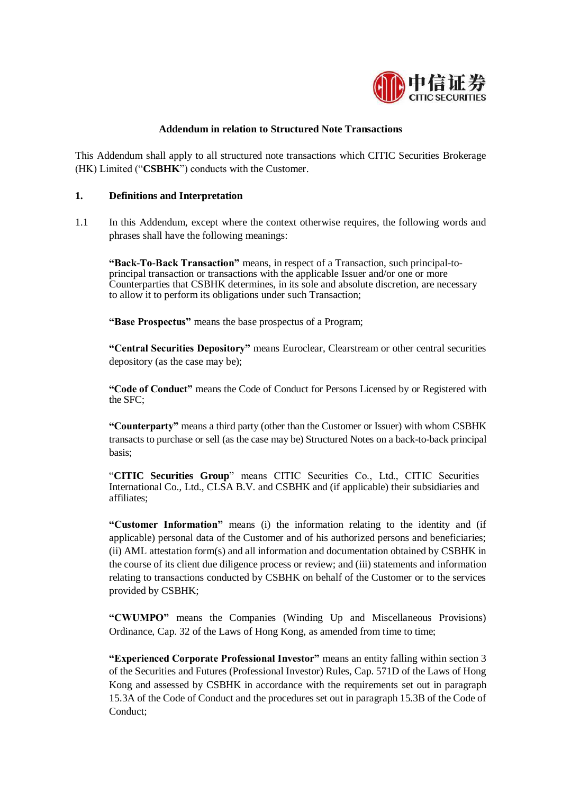

## **Addendum in relation to Structured Note Transactions**

This Addendum shall apply to all structured note transactions which CITIC Securities Brokerage (HK) Limited ("**CSBHK**") conducts with the Customer.

## **1. Definitions and Interpretation**

1.1 In this Addendum, except where the context otherwise requires, the following words and phrases shall have the following meanings:

**"Back-To-Back Transaction"** means, in respect of a Transaction, such principal-toprincipal transaction or transactions with the applicable Issuer and/or one or more Counterparties that CSBHK determines, in its sole and absolute discretion, are necessary to allow it to perform its obligations under such Transaction;

**"Base Prospectus"** means the base prospectus of a Program;

**"Central Securities Depository"** means Euroclear, Clearstream or other central securities depository (as the case may be);

**"Code of Conduct"** means the Code of Conduct for Persons Licensed by or Registered with the SFC;

**"Counterparty"** means a third party (other than the Customer or Issuer) with whom CSBHK transacts to purchase or sell (as the case may be) Structured Notes on a back-to-back principal basis;

"**CITIC Securities Group**" means CITIC Securities Co., Ltd., CITIC Securities International Co., Ltd., CLSA B.V. and CSBHK and (if applicable) their subsidiaries and affiliates;

**"Customer Information"** means (i) the information relating to the identity and (if applicable) personal data of the Customer and of his authorized persons and beneficiaries; (ii) AML attestation form(s) and all information and documentation obtained by CSBHK in the course of its client due diligence process or review; and (iii) statements and information relating to transactions conducted by CSBHK on behalf of the Customer or to the services provided by CSBHK;

**"CWUMPO"** means the Companies (Winding Up and Miscellaneous Provisions) Ordinance, Cap. 32 of the Laws of Hong Kong, as amended from time to time;

**"Experienced Corporate Professional Investor"** means an entity falling within section 3 of the Securities and Futures (Professional Investor) Rules, Cap. 571D of the Laws of Hong Kong and assessed by CSBHK in accordance with the requirements set out in paragraph 15.3A of the Code of Conduct and the procedures set out in paragraph 15.3B of the Code of Conduct;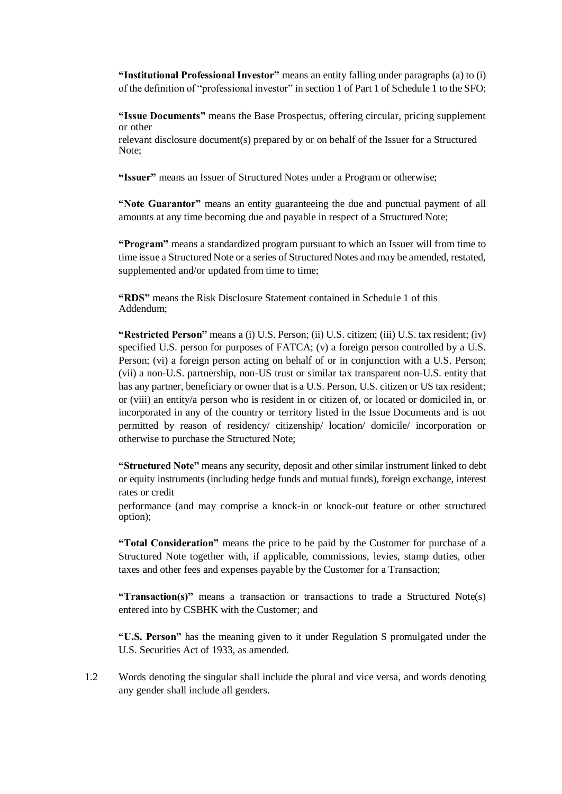**"Institutional Professional Investor"** means an entity falling under paragraphs (a) to (i) of the definition of "professional investor" in section 1 of Part 1 of Schedule 1 to the SFO;

**"Issue Documents"** means the Base Prospectus, offering circular, pricing supplement or other

relevant disclosure document(s) prepared by or on behalf of the Issuer for a Structured Note;

**"Issuer"** means an Issuer of Structured Notes under a Program or otherwise;

**"Note Guarantor"** means an entity guaranteeing the due and punctual payment of all amounts at any time becoming due and payable in respect of a Structured Note;

**"Program"** means a standardized program pursuant to which an Issuer will from time to time issue a Structured Note or a series of Structured Notes and may be amended, restated, supplemented and/or updated from time to time;

**"RDS"** means the Risk Disclosure Statement contained in Schedule 1 of this Addendum;

**"Restricted Person"** means a (i) U.S. Person; (ii) U.S. citizen; (iii) U.S. tax resident; (iv) specified U.S. person for purposes of FATCA; (v) a foreign person controlled by a U.S. Person; (vi) a foreign person acting on behalf of or in conjunction with a U.S. Person; (vii) a non-U.S. partnership, non-US trust or similar tax transparent non-U.S. entity that has any partner, beneficiary or owner that is a U.S. Person, U.S. citizen or US tax resident; or (viii) an entity/a person who is resident in or citizen of, or located or domiciled in, or incorporated in any of the country or territory listed in the Issue Documents and is not permitted by reason of residency/ citizenship/ location/ domicile/ incorporation or otherwise to purchase the Structured Note;

**"Structured Note"** means any security, deposit and other similar instrument linked to debt or equity instruments (including hedge funds and mutual funds), foreign exchange, interest rates or credit

performance (and may comprise a knock-in or knock-out feature or other structured option);

**"Total Consideration"** means the price to be paid by the Customer for purchase of a Structured Note together with, if applicable, commissions, levies, stamp duties, other taxes and other fees and expenses payable by the Customer for a Transaction;

**"Transaction(s)"** means a transaction or transactions to trade a Structured Note(s) entered into by CSBHK with the Customer; and

**"U.S. Person"** has the meaning given to it under Regulation S promulgated under the U.S. Securities Act of 1933, as amended.

1.2 Words denoting the singular shall include the plural and vice versa, and words denoting any gender shall include all genders.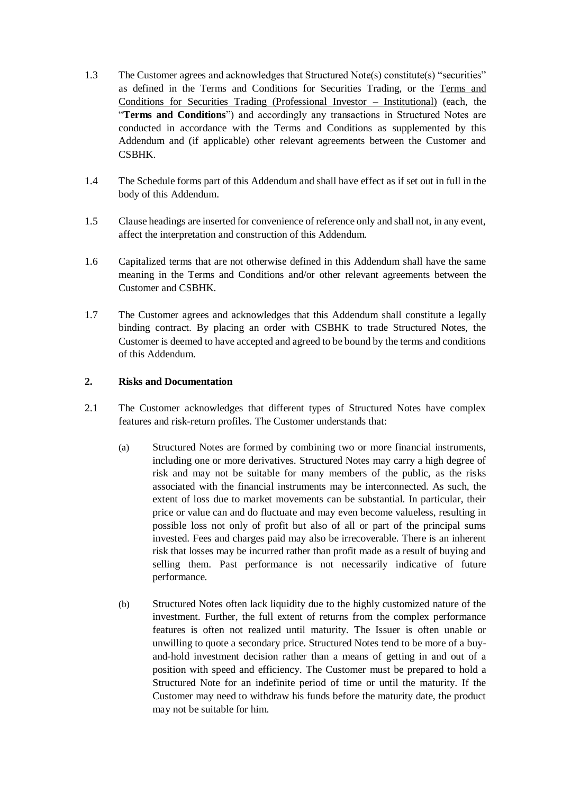- 1.3 The Customer agrees and acknowledges that Structured Note(s) constitute(s) "securities" as defined in the Terms and Conditions for Securities Trading, or the Terms and Conditions for Securities Trading (Professional Investor – Institutional) (each, the "**Terms and Conditions**") and accordingly any transactions in Structured Notes are conducted in accordance with the Terms and Conditions as supplemented by this Addendum and (if applicable) other relevant agreements between the Customer and **CSBHK**
- 1.4 The Schedule forms part of this Addendum and shall have effect as if set out in full in the body of this Addendum.
- 1.5 Clause headings are inserted for convenience of reference only and shall not, in any event, affect the interpretation and construction of this Addendum.
- 1.6 Capitalized terms that are not otherwise defined in this Addendum shall have the same meaning in the Terms and Conditions and/or other relevant agreements between the Customer and CSBHK.
- 1.7 The Customer agrees and acknowledges that this Addendum shall constitute a legally binding contract. By placing an order with CSBHK to trade Structured Notes, the Customer is deemed to have accepted and agreed to be bound by the terms and conditions of this Addendum.

# **2. Risks and Documentation**

- 2.1 The Customer acknowledges that different types of Structured Notes have complex features and risk-return profiles. The Customer understands that:
	- (a) Structured Notes are formed by combining two or more financial instruments, including one or more derivatives. Structured Notes may carry a high degree of risk and may not be suitable for many members of the public, as the risks associated with the financial instruments may be interconnected. As such, the extent of loss due to market movements can be substantial. In particular, their price or value can and do fluctuate and may even become valueless, resulting in possible loss not only of profit but also of all or part of the principal sums invested. Fees and charges paid may also be irrecoverable. There is an inherent risk that losses may be incurred rather than profit made as a result of buying and selling them. Past performance is not necessarily indicative of future performance.
	- (b) Structured Notes often lack liquidity due to the highly customized nature of the investment. Further, the full extent of returns from the complex performance features is often not realized until maturity. The Issuer is often unable or unwilling to quote a secondary price. Structured Notes tend to be more of a buyand-hold investment decision rather than a means of getting in and out of a position with speed and efficiency. The Customer must be prepared to hold a Structured Note for an indefinite period of time or until the maturity. If the Customer may need to withdraw his funds before the maturity date, the product may not be suitable for him.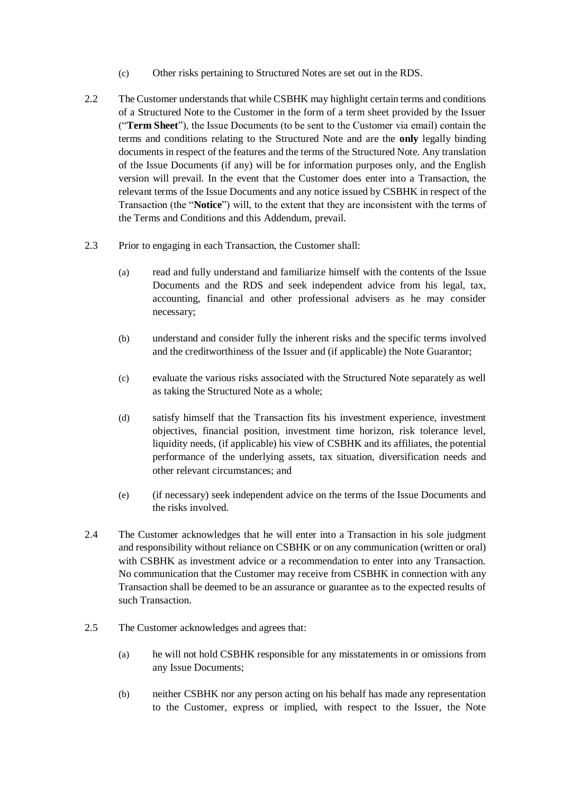- (c) Other risks pertaining to Structured Notes are set out in the RDS.
- 2.2 The Customer understands that while CSBHK may highlight certain terms and conditions of a Structured Note to the Customer in the form of a term sheet provided by the Issuer ("**Term Sheet**"), the Issue Documents (to be sent to the Customer via email) contain the terms and conditions relating to the Structured Note and are the **only** legally binding documents in respect of the features and the terms of the Structured Note. Any translation of the Issue Documents (if any) will be for information purposes only, and the English version will prevail. In the event that the Customer does enter into a Transaction, the relevant terms of the Issue Documents and any notice issued by CSBHK in respect of the Transaction (the "**Notice**") will, to the extent that they are inconsistent with the terms of the Terms and Conditions and this Addendum, prevail.
- 2.3 Prior to engaging in each Transaction, the Customer shall:
	- (a) read and fully understand and familiarize himself with the contents of the Issue Documents and the RDS and seek independent advice from his legal, tax, accounting, financial and other professional advisers as he may consider necessary;
	- (b) understand and consider fully the inherent risks and the specific terms involved and the creditworthiness of the Issuer and (if applicable) the Note Guarantor;
	- (c) evaluate the various risks associated with the Structured Note separately as well as taking the Structured Note as a whole;
	- (d) satisfy himself that the Transaction fits his investment experience, investment objectives, financial position, investment time horizon, risk tolerance level, liquidity needs, (if applicable) his view of CSBHK and its affiliates, the potential performance of the underlying assets, tax situation, diversification needs and other relevant circumstances; and
	- (e) (if necessary) seek independent advice on the terms of the Issue Documents and the risks involved.
- 2.4 The Customer acknowledges that he will enter into a Transaction in his sole judgment and responsibility without reliance on CSBHK or on any communication (written or oral) with CSBHK as investment advice or a recommendation to enter into any Transaction. No communication that the Customer may receive from CSBHK in connection with any Transaction shall be deemed to be an assurance or guarantee as to the expected results of such Transaction.
- 2.5 The Customer acknowledges and agrees that:
	- (a) he will not hold CSBHK responsible for any misstatements in or omissions from any Issue Documents;
	- (b) neither CSBHK nor any person acting on his behalf has made any representation to the Customer, express or implied, with respect to the Issuer, the Note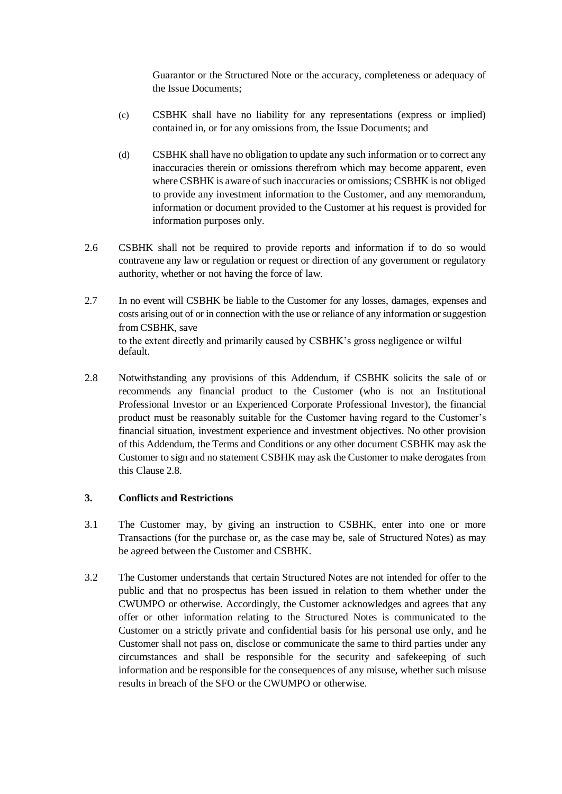Guarantor or the Structured Note or the accuracy, completeness or adequacy of the Issue Documents;

- (c) CSBHK shall have no liability for any representations (express or implied) contained in, or for any omissions from, the Issue Documents; and
- (d) CSBHK shall have no obligation to update any such information or to correct any inaccuracies therein or omissions therefrom which may become apparent, even where CSBHK is aware of such inaccuracies or omissions; CSBHK is not obliged to provide any investment information to the Customer, and any memorandum, information or document provided to the Customer at his request is provided for information purposes only.
- 2.6 CSBHK shall not be required to provide reports and information if to do so would contravene any law or regulation or request or direction of any government or regulatory authority, whether or not having the force of law.
- 2.7 In no event will CSBHK be liable to the Customer for any losses, damages, expenses and costs arising out of or in connection with the use or reliance of any information or suggestion from CSBHK, save to the extent directly and primarily caused by CSBHK's gross negligence or wilful default.
- 2.8 Notwithstanding any provisions of this Addendum, if CSBHK solicits the sale of or recommends any financial product to the Customer (who is not an Institutional Professional Investor or an Experienced Corporate Professional Investor), the financial product must be reasonably suitable for the Customer having regard to the Customer's financial situation, investment experience and investment objectives. No other provision of this Addendum, the Terms and Conditions or any other document CSBHK may ask the Customer to sign and no statement CSBHK may ask the Customer to make derogates from this Clause 2.8.

## **3. Conflicts and Restrictions**

- 3.1 The Customer may, by giving an instruction to CSBHK, enter into one or more Transactions (for the purchase or, as the case may be, sale of Structured Notes) as may be agreed between the Customer and CSBHK.
- 3.2 The Customer understands that certain Structured Notes are not intended for offer to the public and that no prospectus has been issued in relation to them whether under the CWUMPO or otherwise. Accordingly, the Customer acknowledges and agrees that any offer or other information relating to the Structured Notes is communicated to the Customer on a strictly private and confidential basis for his personal use only, and he Customer shall not pass on, disclose or communicate the same to third parties under any circumstances and shall be responsible for the security and safekeeping of such information and be responsible for the consequences of any misuse, whether such misuse results in breach of the SFO or the CWUMPO or otherwise.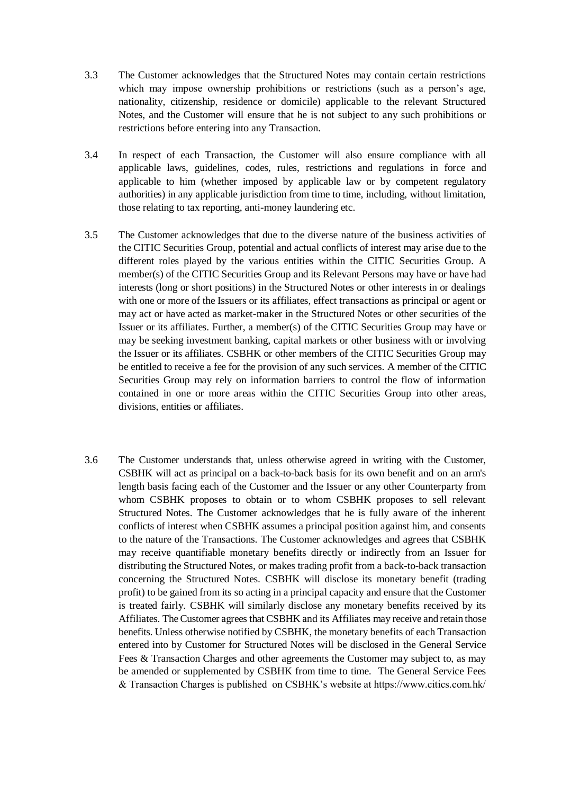- 3.3 The Customer acknowledges that the Structured Notes may contain certain restrictions which may impose ownership prohibitions or restrictions (such as a person's age, nationality, citizenship, residence or domicile) applicable to the relevant Structured Notes, and the Customer will ensure that he is not subject to any such prohibitions or restrictions before entering into any Transaction.
- 3.4 In respect of each Transaction, the Customer will also ensure compliance with all applicable laws, guidelines, codes, rules, restrictions and regulations in force and applicable to him (whether imposed by applicable law or by competent regulatory authorities) in any applicable jurisdiction from time to time, including, without limitation, those relating to tax reporting, anti-money laundering etc.
- 3.5 The Customer acknowledges that due to the diverse nature of the business activities of the CITIC Securities Group, potential and actual conflicts of interest may arise due to the different roles played by the various entities within the CITIC Securities Group. A member(s) of the CITIC Securities Group and its Relevant Persons may have or have had interests (long or short positions) in the Structured Notes or other interests in or dealings with one or more of the Issuers or its affiliates, effect transactions as principal or agent or may act or have acted as market-maker in the Structured Notes or other securities of the Issuer or its affiliates. Further, a member(s) of the CITIC Securities Group may have or may be seeking investment banking, capital markets or other business with or involving the Issuer or its affiliates. CSBHK or other members of the CITIC Securities Group may be entitled to receive a fee for the provision of any such services. A member of the CITIC Securities Group may rely on information barriers to control the flow of information contained in one or more areas within the CITIC Securities Group into other areas, divisions, entities or affiliates.
- 3.6 The Customer understands that, unless otherwise agreed in writing with the Customer, CSBHK will act as principal on a back-to-back basis for its own benefit and on an arm's length basis facing each of the Customer and the Issuer or any other Counterparty from whom CSBHK proposes to obtain or to whom CSBHK proposes to sell relevant Structured Notes. The Customer acknowledges that he is fully aware of the inherent conflicts of interest when CSBHK assumes a principal position against him, and consents to the nature of the Transactions. The Customer acknowledges and agrees that CSBHK may receive quantifiable monetary benefits directly or indirectly from an Issuer for distributing the Structured Notes, or makes trading profit from a back-to-back transaction concerning the Structured Notes. CSBHK will disclose its monetary benefit (trading profit) to be gained from its so acting in a principal capacity and ensure that the Customer is treated fairly. CSBHK will similarly disclose any monetary benefits received by its Affiliates. The Customer agrees that CSBHK and its Affiliates may receive and retain those benefits. Unless otherwise notified by CSBHK, the monetary benefits of each Transaction entered into by Customer for Structured Notes will be disclosed in the General Service Fees & Transaction Charges and other agreements the Customer may subject to, as may be amended or supplemented by CSBHK from time to time. The General Service Fees & Transaction Charges is published on CSBHK's website at https://www.citics.com.hk/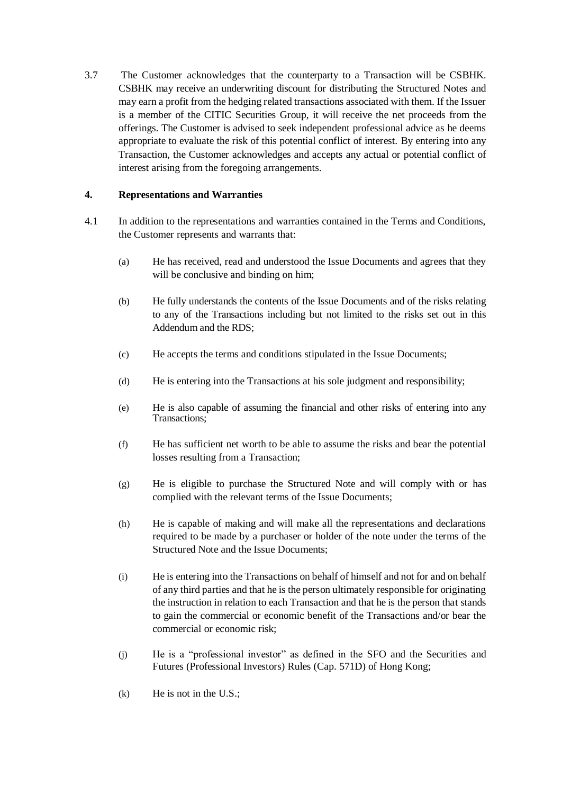3.7 The Customer acknowledges that the counterparty to a Transaction will be CSBHK. CSBHK may receive an underwriting discount for distributing the Structured Notes and may earn a profit from the hedging related transactions associated with them. If the Issuer is a member of the CITIC Securities Group, it will receive the net proceeds from the offerings. The Customer is advised to seek independent professional advice as he deems appropriate to evaluate the risk of this potential conflict of interest. By entering into any Transaction, the Customer acknowledges and accepts any actual or potential conflict of interest arising from the foregoing arrangements.

# **4. Representations and Warranties**

- 4.1 In addition to the representations and warranties contained in the Terms and Conditions, the Customer represents and warrants that:
	- (a) He has received, read and understood the Issue Documents and agrees that they will be conclusive and binding on him;
	- (b) He fully understands the contents of the Issue Documents and of the risks relating to any of the Transactions including but not limited to the risks set out in this Addendum and the RDS;
	- (c) He accepts the terms and conditions stipulated in the Issue Documents;
	- (d) He is entering into the Transactions at his sole judgment and responsibility;
	- (e) He is also capable of assuming the financial and other risks of entering into any Transactions:
	- (f) He has sufficient net worth to be able to assume the risks and bear the potential losses resulting from a Transaction;
	- (g) He is eligible to purchase the Structured Note and will comply with or has complied with the relevant terms of the Issue Documents;
	- (h) He is capable of making and will make all the representations and declarations required to be made by a purchaser or holder of the note under the terms of the Structured Note and the Issue Documents;
	- (i) He is entering into the Transactions on behalf of himself and not for and on behalf of any third parties and that he is the person ultimately responsible for originating the instruction in relation to each Transaction and that he is the person that stands to gain the commercial or economic benefit of the Transactions and/or bear the commercial or economic risk;
	- (j) He is a "professional investor" as defined in the SFO and the Securities and Futures (Professional Investors) Rules (Cap. 571D) of Hong Kong;
	- (k) He is not in the U.S.;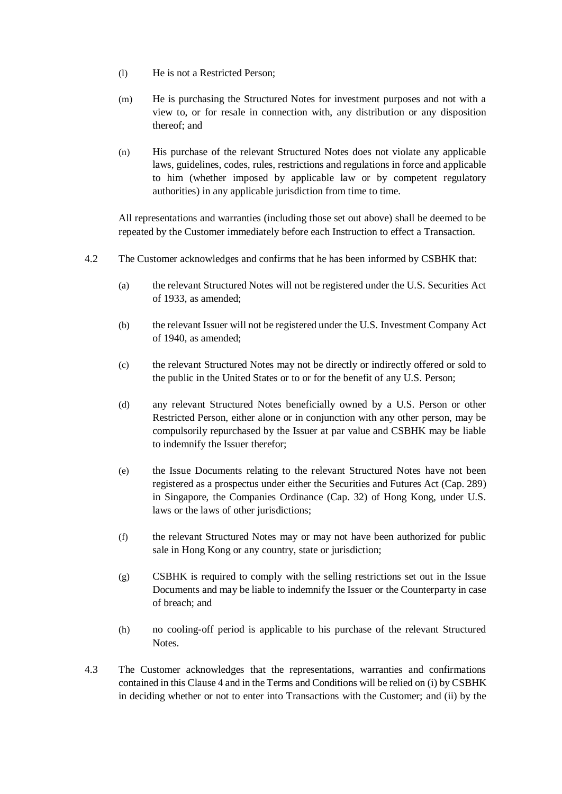- (l) He is not a Restricted Person;
- (m) He is purchasing the Structured Notes for investment purposes and not with a view to, or for resale in connection with, any distribution or any disposition thereof; and
- (n) His purchase of the relevant Structured Notes does not violate any applicable laws, guidelines, codes, rules, restrictions and regulations in force and applicable to him (whether imposed by applicable law or by competent regulatory authorities) in any applicable jurisdiction from time to time.

All representations and warranties (including those set out above) shall be deemed to be repeated by the Customer immediately before each Instruction to effect a Transaction.

- 4.2 The Customer acknowledges and confirms that he has been informed by CSBHK that:
	- (a) the relevant Structured Notes will not be registered under the U.S. Securities Act of 1933, as amended;
	- (b) the relevant Issuer will not be registered under the U.S. Investment Company Act of 1940, as amended;
	- (c) the relevant Structured Notes may not be directly or indirectly offered or sold to the public in the United States or to or for the benefit of any U.S. Person;
	- (d) any relevant Structured Notes beneficially owned by a U.S. Person or other Restricted Person, either alone or in conjunction with any other person, may be compulsorily repurchased by the Issuer at par value and CSBHK may be liable to indemnify the Issuer therefor;
	- (e) the Issue Documents relating to the relevant Structured Notes have not been registered as a prospectus under either the Securities and Futures Act (Cap. 289) in Singapore, the Companies Ordinance (Cap. 32) of Hong Kong, under U.S. laws or the laws of other jurisdictions;
	- (f) the relevant Structured Notes may or may not have been authorized for public sale in Hong Kong or any country, state or jurisdiction;
	- (g) CSBHK is required to comply with the selling restrictions set out in the Issue Documents and may be liable to indemnify the Issuer or the Counterparty in case of breach; and
	- (h) no cooling-off period is applicable to his purchase of the relevant Structured Notes.
- 4.3 The Customer acknowledges that the representations, warranties and confirmations contained in this Clause 4 and in the Terms and Conditions will be relied on (i) by CSBHK in deciding whether or not to enter into Transactions with the Customer; and (ii) by the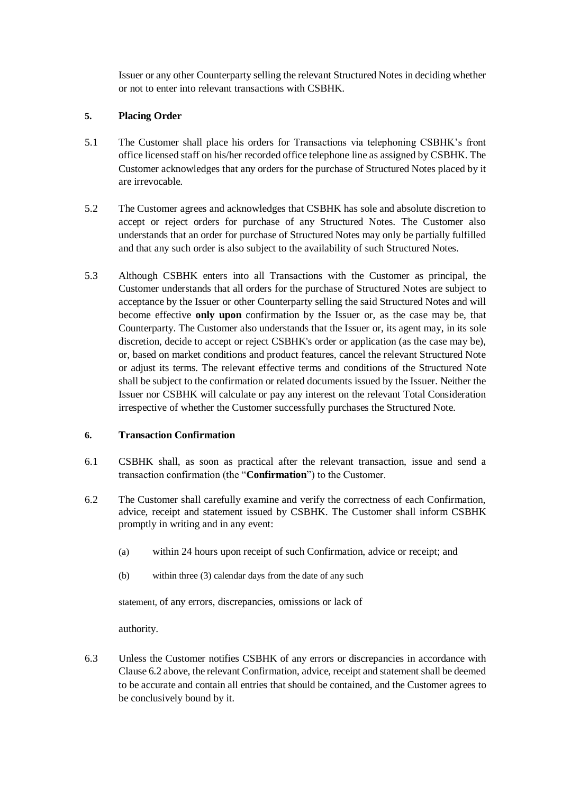Issuer or any other Counterparty selling the relevant Structured Notes in deciding whether or not to enter into relevant transactions with CSBHK.

# **5. Placing Order**

- 5.1 The Customer shall place his orders for Transactions via telephoning CSBHK's front office licensed staff on his/her recorded office telephone line as assigned by CSBHK. The Customer acknowledges that any orders for the purchase of Structured Notes placed by it are irrevocable.
- 5.2 The Customer agrees and acknowledges that CSBHK has sole and absolute discretion to accept or reject orders for purchase of any Structured Notes. The Customer also understands that an order for purchase of Structured Notes may only be partially fulfilled and that any such order is also subject to the availability of such Structured Notes.
- 5.3 Although CSBHK enters into all Transactions with the Customer as principal, the Customer understands that all orders for the purchase of Structured Notes are subject to acceptance by the Issuer or other Counterparty selling the said Structured Notes and will become effective **only upon** confirmation by the Issuer or, as the case may be, that Counterparty. The Customer also understands that the Issuer or, its agent may, in its sole discretion, decide to accept or reject CSBHK's order or application (as the case may be), or, based on market conditions and product features, cancel the relevant Structured Note or adjust its terms. The relevant effective terms and conditions of the Structured Note shall be subject to the confirmation or related documents issued by the Issuer. Neither the Issuer nor CSBHK will calculate or pay any interest on the relevant Total Consideration irrespective of whether the Customer successfully purchases the Structured Note.

## **6. Transaction Confirmation**

- 6.1 CSBHK shall, as soon as practical after the relevant transaction, issue and send a transaction confirmation (the "**Confirmation**") to the Customer.
- 6.2 The Customer shall carefully examine and verify the correctness of each Confirmation, advice, receipt and statement issued by CSBHK. The Customer shall inform CSBHK promptly in writing and in any event:
	- (a) within 24 hours upon receipt of such Confirmation, advice or receipt; and
	- (b) within three (3) calendar days from the date of any such

statement, of any errors, discrepancies, omissions or lack of

authority.

6.3 Unless the Customer notifies CSBHK of any errors or discrepancies in accordance with Clause 6.2 above, the relevant Confirmation, advice, receipt and statement shall be deemed to be accurate and contain all entries that should be contained, and the Customer agrees to be conclusively bound by it.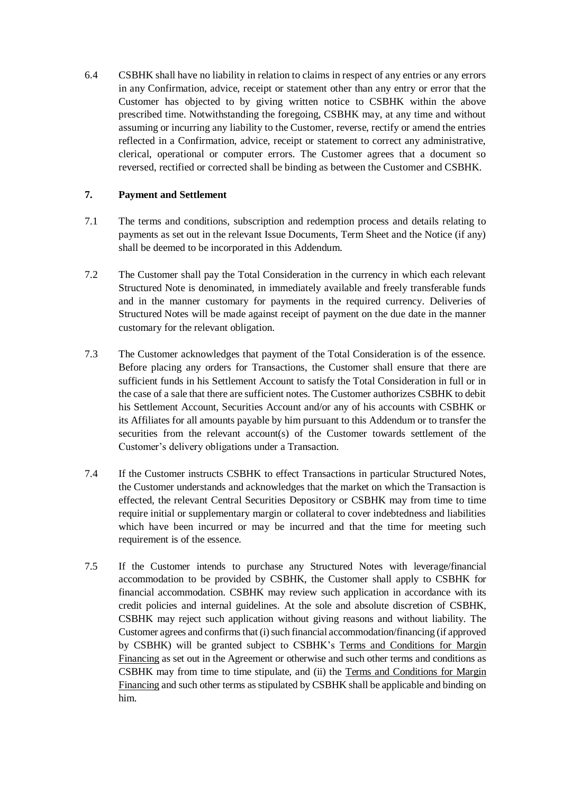6.4 CSBHK shall have no liability in relation to claims in respect of any entries or any errors in any Confirmation, advice, receipt or statement other than any entry or error that the Customer has objected to by giving written notice to CSBHK within the above prescribed time. Notwithstanding the foregoing, CSBHK may, at any time and without assuming or incurring any liability to the Customer, reverse, rectify or amend the entries reflected in a Confirmation, advice, receipt or statement to correct any administrative, clerical, operational or computer errors. The Customer agrees that a document so reversed, rectified or corrected shall be binding as between the Customer and CSBHK.

# **7. Payment and Settlement**

- 7.1 The terms and conditions, subscription and redemption process and details relating to payments as set out in the relevant Issue Documents, Term Sheet and the Notice (if any) shall be deemed to be incorporated in this Addendum.
- 7.2 The Customer shall pay the Total Consideration in the currency in which each relevant Structured Note is denominated, in immediately available and freely transferable funds and in the manner customary for payments in the required currency. Deliveries of Structured Notes will be made against receipt of payment on the due date in the manner customary for the relevant obligation.
- 7.3 The Customer acknowledges that payment of the Total Consideration is of the essence. Before placing any orders for Transactions, the Customer shall ensure that there are sufficient funds in his Settlement Account to satisfy the Total Consideration in full or in the case of a sale that there are sufficient notes. The Customer authorizes CSBHK to debit his Settlement Account, Securities Account and/or any of his accounts with CSBHK or its Affiliates for all amounts payable by him pursuant to this Addendum or to transfer the securities from the relevant account(s) of the Customer towards settlement of the Customer's delivery obligations under a Transaction.
- 7.4 If the Customer instructs CSBHK to effect Transactions in particular Structured Notes, the Customer understands and acknowledges that the market on which the Transaction is effected, the relevant Central Securities Depository or CSBHK may from time to time require initial or supplementary margin or collateral to cover indebtedness and liabilities which have been incurred or may be incurred and that the time for meeting such requirement is of the essence.
- 7.5 If the Customer intends to purchase any Structured Notes with leverage/financial accommodation to be provided by CSBHK, the Customer shall apply to CSBHK for financial accommodation. CSBHK may review such application in accordance with its credit policies and internal guidelines. At the sole and absolute discretion of CSBHK, CSBHK may reject such application without giving reasons and without liability. The Customer agrees and confirms that (i) such financial accommodation/financing (if approved by CSBHK) will be granted subject to CSBHK's Terms and Conditions for Margin Financing as set out in the Agreement or otherwise and such other terms and conditions as CSBHK may from time to time stipulate, and (ii) the Terms and Conditions for Margin Financing and such other terms as stipulated by CSBHK shall be applicable and binding on him.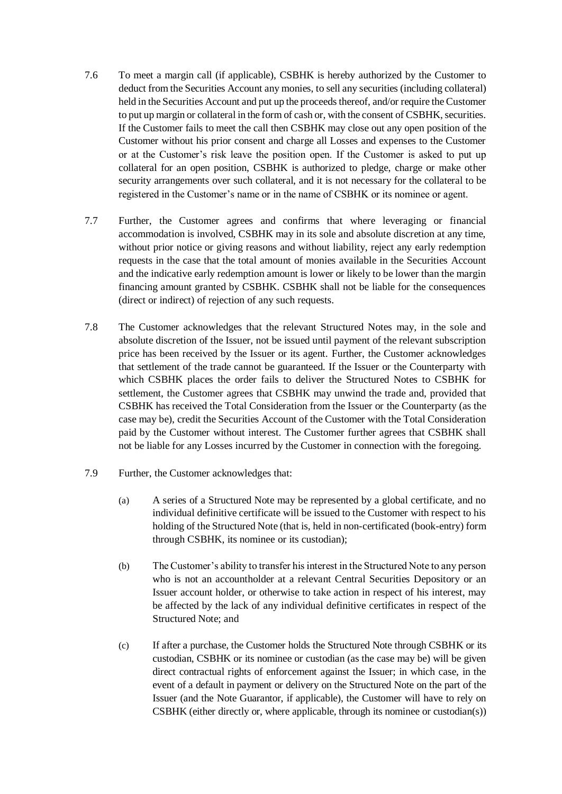- 7.6 To meet a margin call (if applicable), CSBHK is hereby authorized by the Customer to deduct from the Securities Account any monies, to sell any securities (including collateral) held in the Securities Account and put up the proceeds thereof, and/or require the Customer to put up margin or collateral in the form of cash or, with the consent of CSBHK, securities. If the Customer fails to meet the call then CSBHK may close out any open position of the Customer without his prior consent and charge all Losses and expenses to the Customer or at the Customer's risk leave the position open. If the Customer is asked to put up collateral for an open position, CSBHK is authorized to pledge, charge or make other security arrangements over such collateral, and it is not necessary for the collateral to be registered in the Customer's name or in the name of CSBHK or its nominee or agent.
- 7.7 Further, the Customer agrees and confirms that where leveraging or financial accommodation is involved, CSBHK may in its sole and absolute discretion at any time, without prior notice or giving reasons and without liability, reject any early redemption requests in the case that the total amount of monies available in the Securities Account and the indicative early redemption amount is lower or likely to be lower than the margin financing amount granted by CSBHK. CSBHK shall not be liable for the consequences (direct or indirect) of rejection of any such requests.
- 7.8 The Customer acknowledges that the relevant Structured Notes may, in the sole and absolute discretion of the Issuer, not be issued until payment of the relevant subscription price has been received by the Issuer or its agent. Further, the Customer acknowledges that settlement of the trade cannot be guaranteed. If the Issuer or the Counterparty with which CSBHK places the order fails to deliver the Structured Notes to CSBHK for settlement, the Customer agrees that CSBHK may unwind the trade and, provided that CSBHK has received the Total Consideration from the Issuer or the Counterparty (as the case may be), credit the Securities Account of the Customer with the Total Consideration paid by the Customer without interest. The Customer further agrees that CSBHK shall not be liable for any Losses incurred by the Customer in connection with the foregoing.
- 7.9 Further, the Customer acknowledges that:
	- (a) A series of a Structured Note may be represented by a global certificate, and no individual definitive certificate will be issued to the Customer with respect to his holding of the Structured Note (that is, held in non-certificated (book-entry) form through CSBHK, its nominee or its custodian);
	- (b) The Customer's ability to transfer his interest in the Structured Note to any person who is not an accountholder at a relevant Central Securities Depository or an Issuer account holder, or otherwise to take action in respect of his interest, may be affected by the lack of any individual definitive certificates in respect of the Structured Note; and
	- (c) If after a purchase, the Customer holds the Structured Note through CSBHK or its custodian, CSBHK or its nominee or custodian (as the case may be) will be given direct contractual rights of enforcement against the Issuer; in which case, in the event of a default in payment or delivery on the Structured Note on the part of the Issuer (and the Note Guarantor, if applicable), the Customer will have to rely on CSBHK (either directly or, where applicable, through its nominee or custodian(s))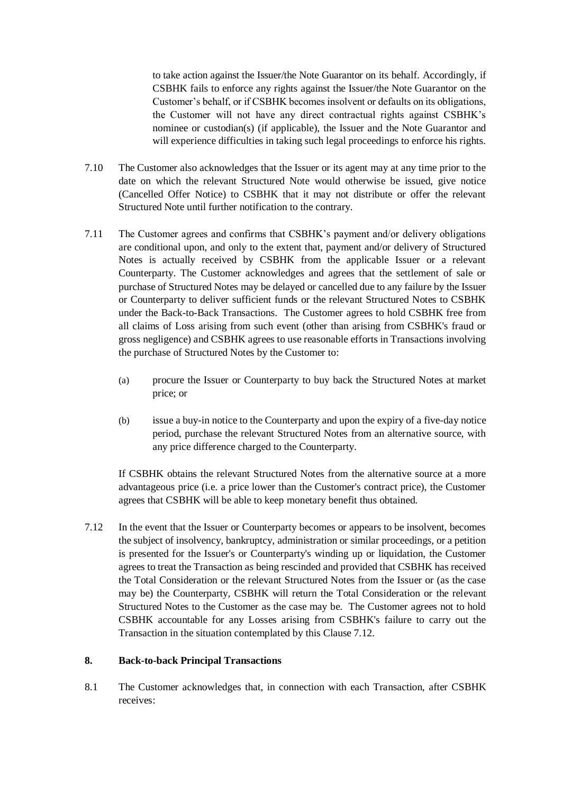to take action against the Issuer/the Note Guarantor on its behalf. Accordingly, if CSBHK fails to enforce any rights against the Issuer/the Note Guarantor on the Customer's behalf, or if CSBHK becomes insolvent or defaults on its obligations, the Customer will not have any direct contractual rights against CSBHK's nominee or custodian(s) (if applicable), the Issuer and the Note Guarantor and will experience difficulties in taking such legal proceedings to enforce his rights.

- 7.10 The Customer also acknowledges that the Issuer or its agent may at any time prior to the date on which the relevant Structured Note would otherwise be issued, give notice (Cancelled Offer Notice) to CSBHK that it may not distribute or offer the relevant Structured Note until further notification to the contrary.
- 7.11 The Customer agrees and confirms that CSBHK's payment and/or delivery obligations are conditional upon, and only to the extent that, payment and/or delivery of Structured Notes is actually received by CSBHK from the applicable Issuer or a relevant Counterparty. The Customer acknowledges and agrees that the settlement of sale or purchase of Structured Notes may be delayed or cancelled due to any failure by the Issuer or Counterparty to deliver sufficient funds or the relevant Structured Notes to CSBHK under the Back-to-Back Transactions. The Customer agrees to hold CSBHK free from all claims of Loss arising from such event (other than arising from CSBHK's fraud or gross negligence) and CSBHK agrees to use reasonable efforts in Transactions involving the purchase of Structured Notes by the Customer to:
	- (a) procure the Issuer or Counterparty to buy back the Structured Notes at market price; or
	- (b) issue a buy-in notice to the Counterparty and upon the expiry of a five-day notice period, purchase the relevant Structured Notes from an alternative source, with any price difference charged to the Counterparty.

If CSBHK obtains the relevant Structured Notes from the alternative source at a more advantageous price (i.e. a price lower than the Customer's contract price), the Customer agrees that CSBHK will be able to keep monetary benefit thus obtained.

7.12 In the event that the Issuer or Counterparty becomes or appears to be insolvent, becomes the subject of insolvency, bankruptcy, administration or similar proceedings, or a petition is presented for the Issuer's or Counterparty's winding up or liquidation, the Customer agrees to treat the Transaction as being rescinded and provided that CSBHK has received the Total Consideration or the relevant Structured Notes from the Issuer or (as the case may be) the Counterparty, CSBHK will return the Total Consideration or the relevant Structured Notes to the Customer as the case may be. The Customer agrees not to hold CSBHK accountable for any Losses arising from CSBHK's failure to carry out the Transaction in the situation contemplated by this Clause 7.12.

# **8. Back-to-back Principal Transactions**

8.1 The Customer acknowledges that, in connection with each Transaction, after CSBHK receives: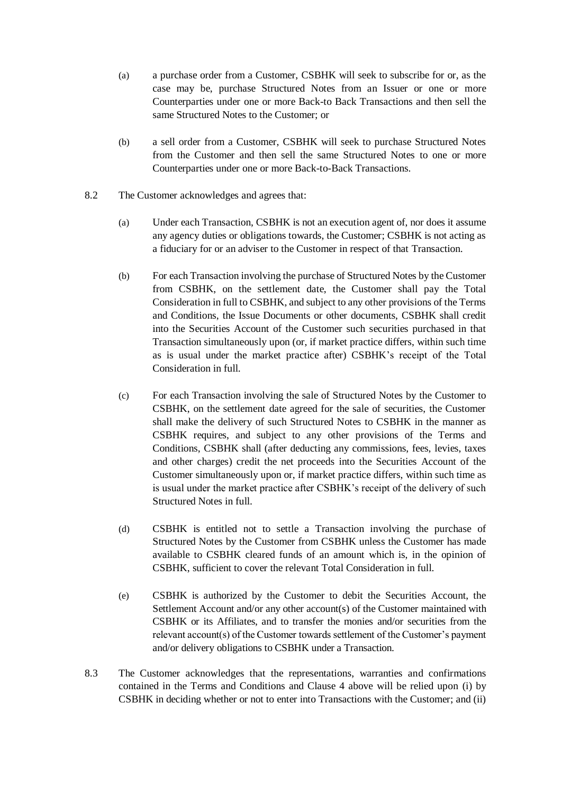- (a) a purchase order from a Customer, CSBHK will seek to subscribe for or, as the case may be, purchase Structured Notes from an Issuer or one or more Counterparties under one or more Back-to Back Transactions and then sell the same Structured Notes to the Customer; or
- (b) a sell order from a Customer, CSBHK will seek to purchase Structured Notes from the Customer and then sell the same Structured Notes to one or more Counterparties under one or more Back-to-Back Transactions.
- 8.2 The Customer acknowledges and agrees that:
	- (a) Under each Transaction, CSBHK is not an execution agent of, nor does it assume any agency duties or obligations towards, the Customer; CSBHK is not acting as a fiduciary for or an adviser to the Customer in respect of that Transaction.
	- (b) For each Transaction involving the purchase of Structured Notes by the Customer from CSBHK, on the settlement date, the Customer shall pay the Total Consideration in full to CSBHK, and subject to any other provisions of the Terms and Conditions, the Issue Documents or other documents, CSBHK shall credit into the Securities Account of the Customer such securities purchased in that Transaction simultaneously upon (or, if market practice differs, within such time as is usual under the market practice after) CSBHK's receipt of the Total Consideration in full.
	- (c) For each Transaction involving the sale of Structured Notes by the Customer to CSBHK, on the settlement date agreed for the sale of securities, the Customer shall make the delivery of such Structured Notes to CSBHK in the manner as CSBHK requires, and subject to any other provisions of the Terms and Conditions, CSBHK shall (after deducting any commissions, fees, levies, taxes and other charges) credit the net proceeds into the Securities Account of the Customer simultaneously upon or, if market practice differs, within such time as is usual under the market practice after CSBHK's receipt of the delivery of such Structured Notes in full.
	- (d) CSBHK is entitled not to settle a Transaction involving the purchase of Structured Notes by the Customer from CSBHK unless the Customer has made available to CSBHK cleared funds of an amount which is, in the opinion of CSBHK, sufficient to cover the relevant Total Consideration in full.
	- (e) CSBHK is authorized by the Customer to debit the Securities Account, the Settlement Account and/or any other account(s) of the Customer maintained with CSBHK or its Affiliates, and to transfer the monies and/or securities from the relevant account(s) of the Customer towards settlement of the Customer's payment and/or delivery obligations to CSBHK under a Transaction.
- 8.3 The Customer acknowledges that the representations, warranties and confirmations contained in the Terms and Conditions and Clause 4 above will be relied upon (i) by CSBHK in deciding whether or not to enter into Transactions with the Customer; and (ii)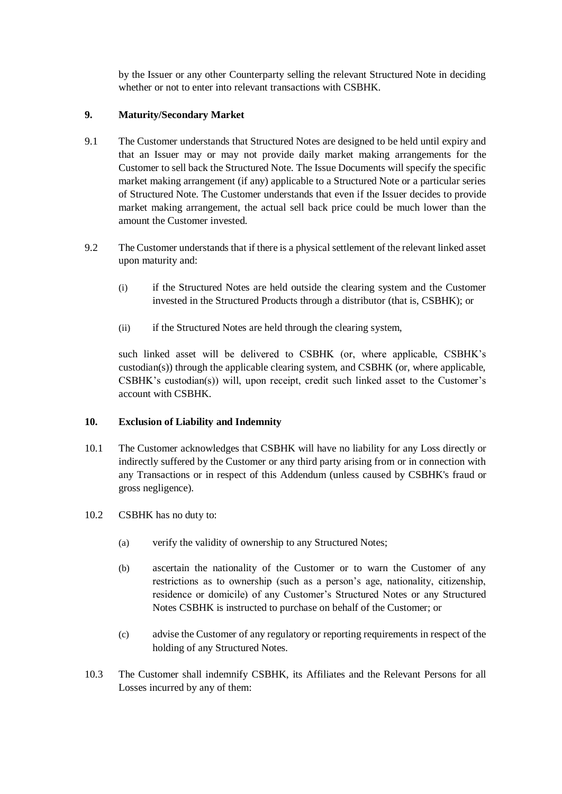by the Issuer or any other Counterparty selling the relevant Structured Note in deciding whether or not to enter into relevant transactions with CSBHK.

# **9. Maturity/Secondary Market**

- 9.1 The Customer understands that Structured Notes are designed to be held until expiry and that an Issuer may or may not provide daily market making arrangements for the Customer to sell back the Structured Note. The Issue Documents will specify the specific market making arrangement (if any) applicable to a Structured Note or a particular series of Structured Note. The Customer understands that even if the Issuer decides to provide market making arrangement, the actual sell back price could be much lower than the amount the Customer invested.
- 9.2 The Customer understands that if there is a physical settlement of the relevant linked asset upon maturity and:
	- (i) if the Structured Notes are held outside the clearing system and the Customer invested in the Structured Products through a distributor (that is, CSBHK); or
	- (ii) if the Structured Notes are held through the clearing system,

such linked asset will be delivered to CSBHK (or, where applicable, CSBHK's  $\text{custodian(s)}$ ) through the applicable clearing system, and  $\text{CSBHK}$  (or, where applicable, CSBHK's custodian(s)) will, upon receipt, credit such linked asset to the Customer's account with CSBHK.

# **10. Exclusion of Liability and Indemnity**

- 10.1 The Customer acknowledges that CSBHK will have no liability for any Loss directly or indirectly suffered by the Customer or any third party arising from or in connection with any Transactions or in respect of this Addendum (unless caused by CSBHK's fraud or gross negligence).
- 10.2 CSBHK has no duty to:
	- (a) verify the validity of ownership to any Structured Notes;
	- (b) ascertain the nationality of the Customer or to warn the Customer of any restrictions as to ownership (such as a person's age, nationality, citizenship, residence or domicile) of any Customer's Structured Notes or any Structured Notes CSBHK is instructed to purchase on behalf of the Customer; or
	- (c) advise the Customer of any regulatory or reporting requirements in respect of the holding of any Structured Notes.
- 10.3 The Customer shall indemnify CSBHK, its Affiliates and the Relevant Persons for all Losses incurred by any of them: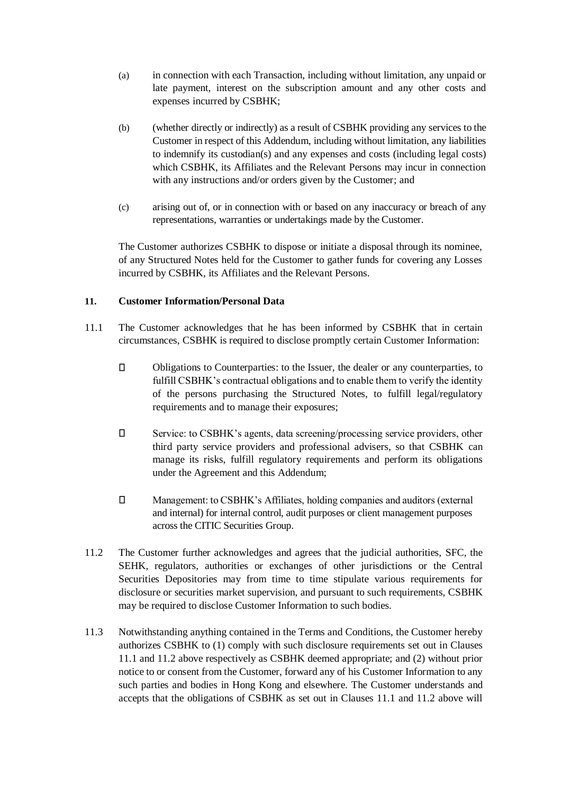- (a) in connection with each Transaction, including without limitation, any unpaid or late payment, interest on the subscription amount and any other costs and expenses incurred by CSBHK;
- (b) (whether directly or indirectly) as a result of CSBHK providing any services to the Customer in respect of this Addendum, including without limitation, any liabilities to indemnify its custodian(s) and any expenses and costs (including legal costs) which CSBHK, its Affiliates and the Relevant Persons may incur in connection with any instructions and/or orders given by the Customer; and
- (c) arising out of, or in connection with or based on any inaccuracy or breach of any representations, warranties or undertakings made by the Customer.

The Customer authorizes CSBHK to dispose or initiate a disposal through its nominee, of any Structured Notes held for the Customer to gather funds for covering any Losses incurred by CSBHK, its Affiliates and the Relevant Persons.

# **11. Customer Information/Personal Data**

- 11.1 The Customer acknowledges that he has been informed by CSBHK that in certain circumstances, CSBHK is required to disclose promptly certain Customer Information:
	- $\Box$ Obligations to Counterparties: to the Issuer, the dealer or any counterparties, to fulfill CSBHK's contractual obligations and to enable them to verify the identity of the persons purchasing the Structured Notes, to fulfill legal/regulatory requirements and to manage their exposures;
	- $\Box$ Service: to CSBHK's agents, data screening/processing service providers, other third party service providers and professional advisers, so that CSBHK can manage its risks, fulfill regulatory requirements and perform its obligations under the Agreement and this Addendum;
	- $\Box$ Management: to CSBHK's Affiliates, holding companies and auditors (external and internal) for internal control, audit purposes or client management purposes across the CITIC Securities Group.
- 11.2 The Customer further acknowledges and agrees that the judicial authorities, SFC, the SEHK, regulators, authorities or exchanges of other jurisdictions or the Central Securities Depositories may from time to time stipulate various requirements for disclosure or securities market supervision, and pursuant to such requirements, CSBHK may be required to disclose Customer Information to such bodies.
- 11.3 Notwithstanding anything contained in the Terms and Conditions, the Customer hereby authorizes CSBHK to (1) comply with such disclosure requirements set out in Clauses 11.1 and 11.2 above respectively as CSBHK deemed appropriate; and (2) without prior notice to or consent from the Customer, forward any of his Customer Information to any such parties and bodies in Hong Kong and elsewhere. The Customer understands and accepts that the obligations of CSBHK as set out in Clauses 11.1 and 11.2 above will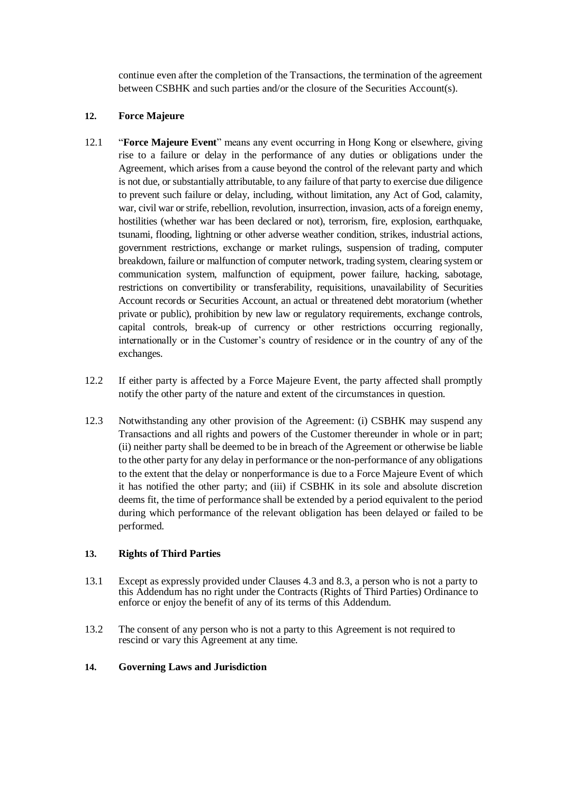continue even after the completion of the Transactions, the termination of the agreement between CSBHK and such parties and/or the closure of the Securities Account(s).

## **12. Force Majeure**

- 12.1 "**Force Majeure Event**" means any event occurring in Hong Kong or elsewhere, giving rise to a failure or delay in the performance of any duties or obligations under the Agreement, which arises from a cause beyond the control of the relevant party and which is not due, or substantially attributable, to any failure of that party to exercise due diligence to prevent such failure or delay, including, without limitation, any Act of God, calamity, war, civil war or strife, rebellion, revolution, insurrection, invasion, acts of a foreign enemy, hostilities (whether war has been declared or not), terrorism, fire, explosion, earthquake, tsunami, flooding, lightning or other adverse weather condition, strikes, industrial actions, government restrictions, exchange or market rulings, suspension of trading, computer breakdown, failure or malfunction of computer network, trading system, clearing system or communication system, malfunction of equipment, power failure, hacking, sabotage, restrictions on convertibility or transferability, requisitions, unavailability of Securities Account records or Securities Account, an actual or threatened debt moratorium (whether private or public), prohibition by new law or regulatory requirements, exchange controls, capital controls, break-up of currency or other restrictions occurring regionally, internationally or in the Customer's country of residence or in the country of any of the exchanges.
- 12.2 If either party is affected by a Force Majeure Event, the party affected shall promptly notify the other party of the nature and extent of the circumstances in question.
- 12.3 Notwithstanding any other provision of the Agreement: (i) CSBHK may suspend any Transactions and all rights and powers of the Customer thereunder in whole or in part; (ii) neither party shall be deemed to be in breach of the Agreement or otherwise be liable to the other party for any delay in performance or the non-performance of any obligations to the extent that the delay or nonperformance is due to a Force Majeure Event of which it has notified the other party; and (iii) if CSBHK in its sole and absolute discretion deems fit, the time of performance shall be extended by a period equivalent to the period during which performance of the relevant obligation has been delayed or failed to be performed.

## **13. Rights of Third Parties**

- 13.1 Except as expressly provided under Clauses 4.3 and 8.3, a person who is not a party to this Addendum has no right under the Contracts (Rights of Third Parties) Ordinance to enforce or enjoy the benefit of any of its terms of this Addendum.
- 13.2 The consent of any person who is not a party to this Agreement is not required to rescind or vary this Agreement at any time.

## **14. Governing Laws and Jurisdiction**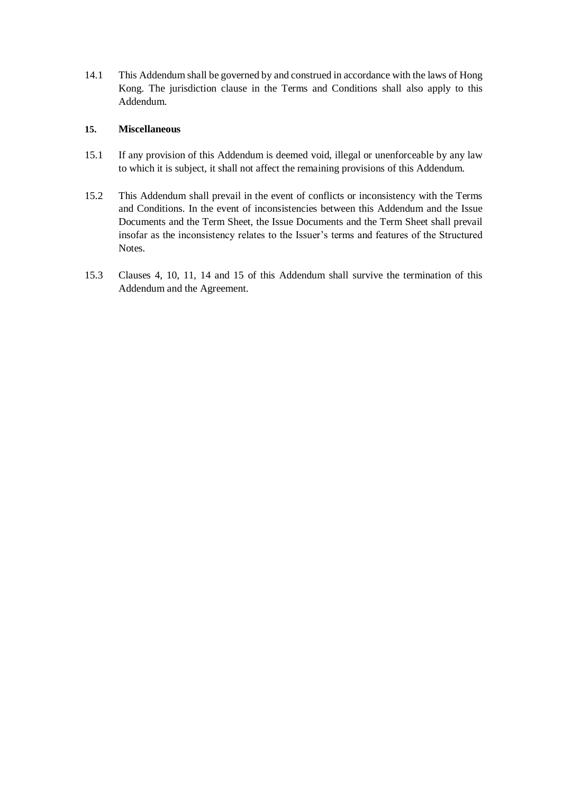14.1 This Addendum shall be governed by and construed in accordance with the laws of Hong Kong. The jurisdiction clause in the Terms and Conditions shall also apply to this Addendum.

# **15. Miscellaneous**

- 15.1 If any provision of this Addendum is deemed void, illegal or unenforceable by any law to which it is subject, it shall not affect the remaining provisions of this Addendum.
- 15.2 This Addendum shall prevail in the event of conflicts or inconsistency with the Terms and Conditions. In the event of inconsistencies between this Addendum and the Issue Documents and the Term Sheet, the Issue Documents and the Term Sheet shall prevail insofar as the inconsistency relates to the Issuer's terms and features of the Structured Notes.
- 15.3 Clauses 4, 10, 11, 14 and 15 of this Addendum shall survive the termination of this Addendum and the Agreement.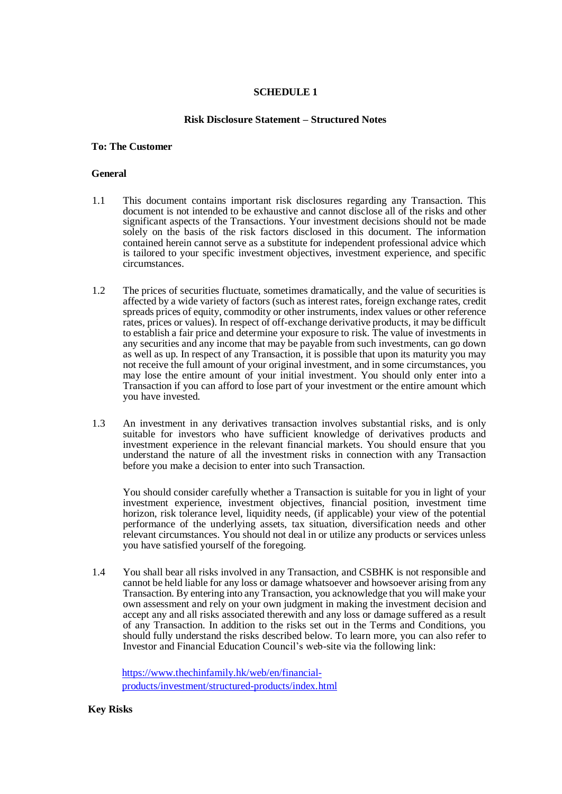# **SCHEDULE 1**

### **Risk Disclosure Statement – Structured Notes**

### **To: The Customer**

### **General**

- 1.1 This document contains important risk disclosures regarding any Transaction. This document is not intended to be exhaustive and cannot disclose all of the risks and other significant aspects of the Transactions. Your investment decisions should not be made solely on the basis of the risk factors disclosed in this document. The information contained herein cannot serve as a substitute for independent professional advice which is tailored to your specific investment objectives, investment experience, and specific circumstances.
- 1.2 The prices of securities fluctuate, sometimes dramatically, and the value of securities is affected by a wide variety of factors (such as interest rates, foreign exchange rates, credit spreads prices of equity, commodity or other instruments, index values or other reference rates, prices or values). In respect of off-exchange derivative products, it may be difficult to establish a fair price and determine your exposure to risk. The value of investments in any securities and any income that may be payable from such investments, can go down as well as up. In respect of any Transaction, it is possible that upon its maturity you may not receive the full amount of your original investment, and in some circumstances, you may lose the entire amount of your initial investment. You should only enter into a Transaction if you can afford to lose part of your investment or the entire amount which you have invested.
- 1.3 An investment in any derivatives transaction involves substantial risks, and is only suitable for investors who have sufficient knowledge of derivatives products and investment experience in the relevant financial markets. You should ensure that you understand the nature of all the investment risks in connection with any Transaction before you make a decision to enter into such Transaction.

You should consider carefully whether a Transaction is suitable for you in light of your investment experience, investment objectives, financial position, investment time horizon, risk tolerance level, liquidity needs, (if applicable) your view of the potential performance of the underlying assets, tax situation, diversification needs and other relevant circumstances. You should not deal in or utilize any products or services unless you have satisfied yourself of the foregoing.

1.4 You shall bear all risks involved in any Transaction, and CSBHK is not responsible and cannot be held liable for any loss or damage whatsoever and howsoever arising from any Transaction. By entering into any Transaction, you acknowledge that you will make your own assessment and rely on your own judgment in making the investment decision and accept any and all risks associated therewith and any loss or damage suffered as a result of any Transaction. In addition to the risks set out in the Terms and Conditions, you should fully understand the risks described below. To learn more, you can also refer to Investor and Financial Education Council's web-site via the following link:

[https://www.thechinfamily.hk/web/en/financial](https://www.thechinfamily.hk/web/en/financial-products/investment/structured-products/index.html)[products/investment/structured-products/index.html](https://www.thechinfamily.hk/web/en/financial-products/investment/structured-products/index.html)

#### **Key Risks**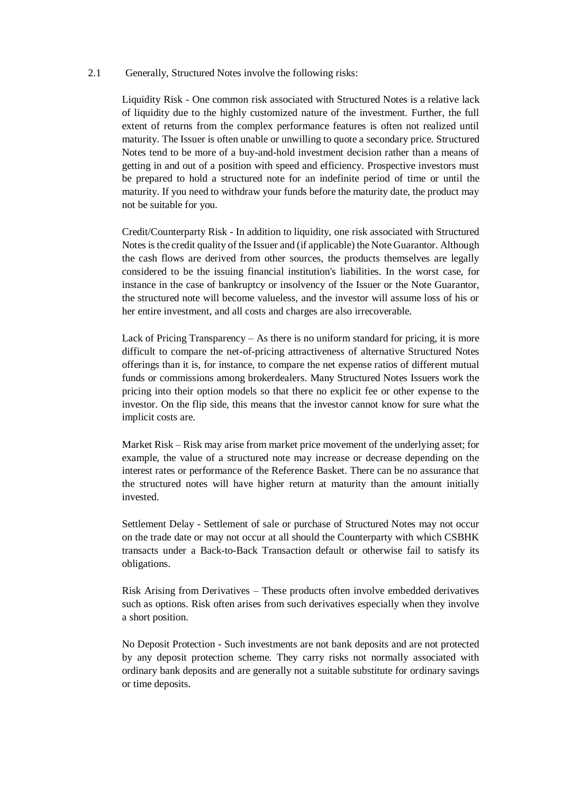## 2.1 Generally, Structured Notes involve the following risks:

Liquidity Risk - One common risk associated with Structured Notes is a relative lack of liquidity due to the highly customized nature of the investment. Further, the full extent of returns from the complex performance features is often not realized until maturity. The Issuer is often unable or unwilling to quote a secondary price. Structured Notes tend to be more of a buy-and-hold investment decision rather than a means of getting in and out of a position with speed and efficiency. Prospective investors must be prepared to hold a structured note for an indefinite period of time or until the maturity. If you need to withdraw your funds before the maturity date, the product may not be suitable for you.

Credit/Counterparty Risk - In addition to liquidity, one risk associated with Structured Notes is the credit quality of the Issuer and (if applicable) the Note Guarantor. Although the cash flows are derived from other sources, the products themselves are legally considered to be the issuing financial institution's liabilities. In the worst case, for instance in the case of bankruptcy or insolvency of the Issuer or the Note Guarantor, the structured note will become valueless, and the investor will assume loss of his or her entire investment, and all costs and charges are also irrecoverable.

Lack of Pricing Transparency – As there is no uniform standard for pricing, it is more difficult to compare the net-of-pricing attractiveness of alternative Structured Notes offerings than it is, for instance, to compare the net expense ratios of different mutual funds or commissions among brokerdealers. Many Structured Notes Issuers work the pricing into their option models so that there no explicit fee or other expense to the investor. On the flip side, this means that the investor cannot know for sure what the implicit costs are.

Market Risk – Risk may arise from market price movement of the underlying asset; for example, the value of a structured note may increase or decrease depending on the interest rates or performance of the Reference Basket. There can be no assurance that the structured notes will have higher return at maturity than the amount initially invested.

Settlement Delay - Settlement of sale or purchase of Structured Notes may not occur on the trade date or may not occur at all should the Counterparty with which CSBHK transacts under a Back-to-Back Transaction default or otherwise fail to satisfy its obligations.

Risk Arising from Derivatives – These products often involve embedded derivatives such as options. Risk often arises from such derivatives especially when they involve a short position.

No Deposit Protection - Such investments are not bank deposits and are not protected by any deposit protection scheme. They carry risks not normally associated with ordinary bank deposits and are generally not a suitable substitute for ordinary savings or time deposits.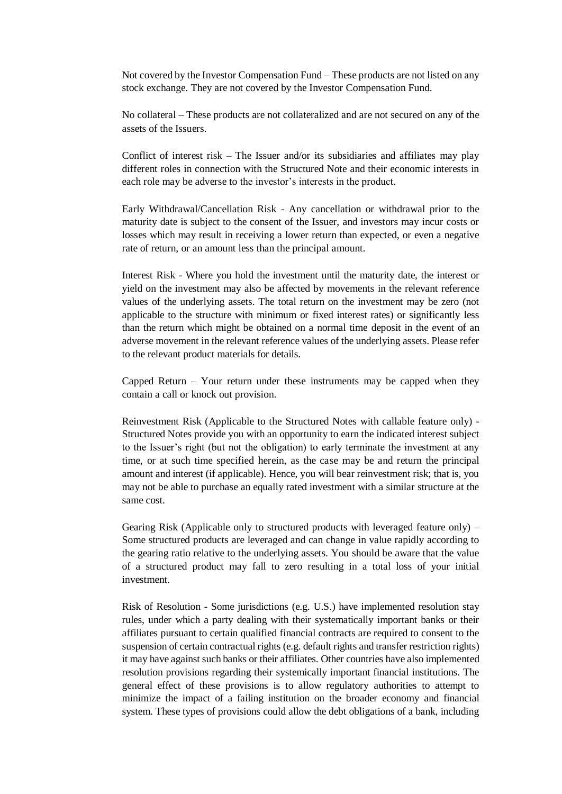Not covered by the Investor Compensation Fund – These products are not listed on any stock exchange. They are not covered by the Investor Compensation Fund.

No collateral – These products are not collateralized and are not secured on any of the assets of the Issuers.

Conflict of interest risk  $-$  The Issuer and/or its subsidiaries and affiliates may play different roles in connection with the Structured Note and their economic interests in each role may be adverse to the investor's interests in the product.

Early Withdrawal/Cancellation Risk - Any cancellation or withdrawal prior to the maturity date is subject to the consent of the Issuer, and investors may incur costs or losses which may result in receiving a lower return than expected, or even a negative rate of return, or an amount less than the principal amount.

Interest Risk - Where you hold the investment until the maturity date, the interest or yield on the investment may also be affected by movements in the relevant reference values of the underlying assets. The total return on the investment may be zero (not applicable to the structure with minimum or fixed interest rates) or significantly less than the return which might be obtained on a normal time deposit in the event of an adverse movement in the relevant reference values of the underlying assets. Please refer to the relevant product materials for details.

Capped Return – Your return under these instruments may be capped when they contain a call or knock out provision.

Reinvestment Risk (Applicable to the Structured Notes with callable feature only) - Structured Notes provide you with an opportunity to earn the indicated interest subject to the Issuer's right (but not the obligation) to early terminate the investment at any time, or at such time specified herein, as the case may be and return the principal amount and interest (if applicable). Hence, you will bear reinvestment risk; that is, you may not be able to purchase an equally rated investment with a similar structure at the same cost.

Gearing Risk (Applicable only to structured products with leveraged feature only) – Some structured products are leveraged and can change in value rapidly according to the gearing ratio relative to the underlying assets. You should be aware that the value of a structured product may fall to zero resulting in a total loss of your initial investment.

Risk of Resolution - Some jurisdictions (e.g. U.S.) have implemented resolution stay rules, under which a party dealing with their systematically important banks or their affiliates pursuant to certain qualified financial contracts are required to consent to the suspension of certain contractual rights (e.g. default rights and transfer restriction rights) it may have against such banks or their affiliates. Other countries have also implemented resolution provisions regarding their systemically important financial institutions. The general effect of these provisions is to allow regulatory authorities to attempt to minimize the impact of a failing institution on the broader economy and financial system. These types of provisions could allow the debt obligations of a bank, including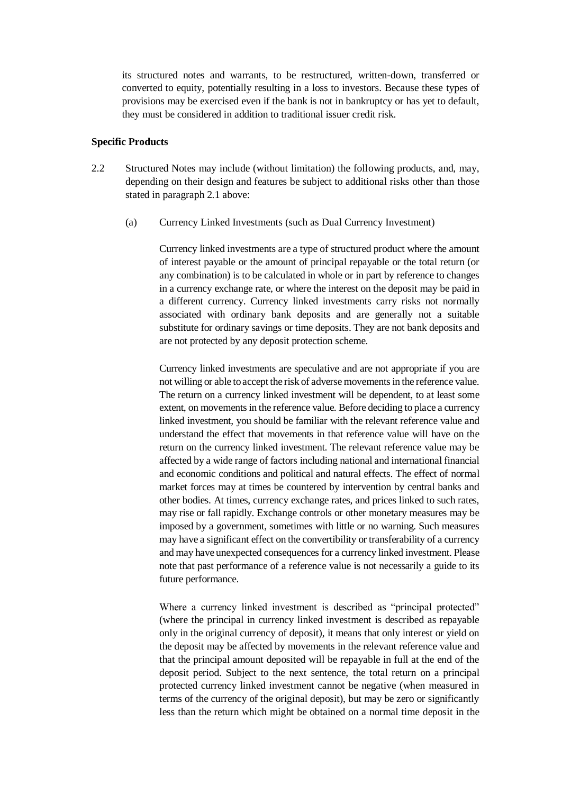its structured notes and warrants, to be restructured, written-down, transferred or converted to equity, potentially resulting in a loss to investors. Because these types of provisions may be exercised even if the bank is not in bankruptcy or has yet to default, they must be considered in addition to traditional issuer credit risk.

#### **Specific Products**

- 2.2 Structured Notes may include (without limitation) the following products, and, may, depending on their design and features be subject to additional risks other than those stated in paragraph 2.1 above:
	- (a) Currency Linked Investments (such as Dual Currency Investment)

Currency linked investments are a type of structured product where the amount of interest payable or the amount of principal repayable or the total return (or any combination) is to be calculated in whole or in part by reference to changes in a currency exchange rate, or where the interest on the deposit may be paid in a different currency. Currency linked investments carry risks not normally associated with ordinary bank deposits and are generally not a suitable substitute for ordinary savings or time deposits. They are not bank deposits and are not protected by any deposit protection scheme.

Currency linked investments are speculative and are not appropriate if you are not willing or able to accept the risk of adverse movements in the reference value. The return on a currency linked investment will be dependent, to at least some extent, on movements in the reference value. Before deciding to place a currency linked investment, you should be familiar with the relevant reference value and understand the effect that movements in that reference value will have on the return on the currency linked investment. The relevant reference value may be affected by a wide range of factors including national and international financial and economic conditions and political and natural effects. The effect of normal market forces may at times be countered by intervention by central banks and other bodies. At times, currency exchange rates, and prices linked to such rates, may rise or fall rapidly. Exchange controls or other monetary measures may be imposed by a government, sometimes with little or no warning. Such measures may have a significant effect on the convertibility or transferability of a currency and may have unexpected consequences for a currency linked investment. Please note that past performance of a reference value is not necessarily a guide to its future performance.

Where a currency linked investment is described as "principal protected" (where the principal in currency linked investment is described as repayable only in the original currency of deposit), it means that only interest or yield on the deposit may be affected by movements in the relevant reference value and that the principal amount deposited will be repayable in full at the end of the deposit period. Subject to the next sentence, the total return on a principal protected currency linked investment cannot be negative (when measured in terms of the currency of the original deposit), but may be zero or significantly less than the return which might be obtained on a normal time deposit in the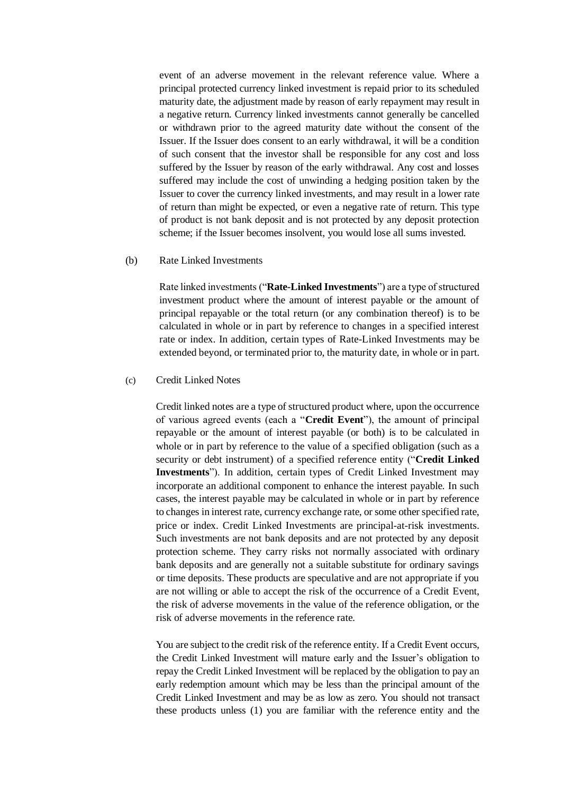event of an adverse movement in the relevant reference value. Where a principal protected currency linked investment is repaid prior to its scheduled maturity date, the adjustment made by reason of early repayment may result in a negative return. Currency linked investments cannot generally be cancelled or withdrawn prior to the agreed maturity date without the consent of the Issuer. If the Issuer does consent to an early withdrawal, it will be a condition of such consent that the investor shall be responsible for any cost and loss suffered by the Issuer by reason of the early withdrawal. Any cost and losses suffered may include the cost of unwinding a hedging position taken by the Issuer to cover the currency linked investments, and may result in a lower rate of return than might be expected, or even a negative rate of return. This type of product is not bank deposit and is not protected by any deposit protection scheme; if the Issuer becomes insolvent, you would lose all sums invested.

#### (b) Rate Linked Investments

Rate linked investments ("**Rate-Linked Investments**") are a type of structured investment product where the amount of interest payable or the amount of principal repayable or the total return (or any combination thereof) is to be calculated in whole or in part by reference to changes in a specified interest rate or index. In addition, certain types of Rate-Linked Investments may be extended beyond, or terminated prior to, the maturity date, in whole or in part.

### (c) Credit Linked Notes

Credit linked notes are a type of structured product where, upon the occurrence of various agreed events (each a "**Credit Event**"), the amount of principal repayable or the amount of interest payable (or both) is to be calculated in whole or in part by reference to the value of a specified obligation (such as a security or debt instrument) of a specified reference entity ("**Credit Linked Investments**"). In addition, certain types of Credit Linked Investment may incorporate an additional component to enhance the interest payable. In such cases, the interest payable may be calculated in whole or in part by reference to changes in interest rate, currency exchange rate, or some other specified rate, price or index. Credit Linked Investments are principal-at-risk investments. Such investments are not bank deposits and are not protected by any deposit protection scheme. They carry risks not normally associated with ordinary bank deposits and are generally not a suitable substitute for ordinary savings or time deposits. These products are speculative and are not appropriate if you are not willing or able to accept the risk of the occurrence of a Credit Event, the risk of adverse movements in the value of the reference obligation, or the risk of adverse movements in the reference rate.

You are subject to the credit risk of the reference entity. If a Credit Event occurs, the Credit Linked Investment will mature early and the Issuer's obligation to repay the Credit Linked Investment will be replaced by the obligation to pay an early redemption amount which may be less than the principal amount of the Credit Linked Investment and may be as low as zero. You should not transact these products unless (1) you are familiar with the reference entity and the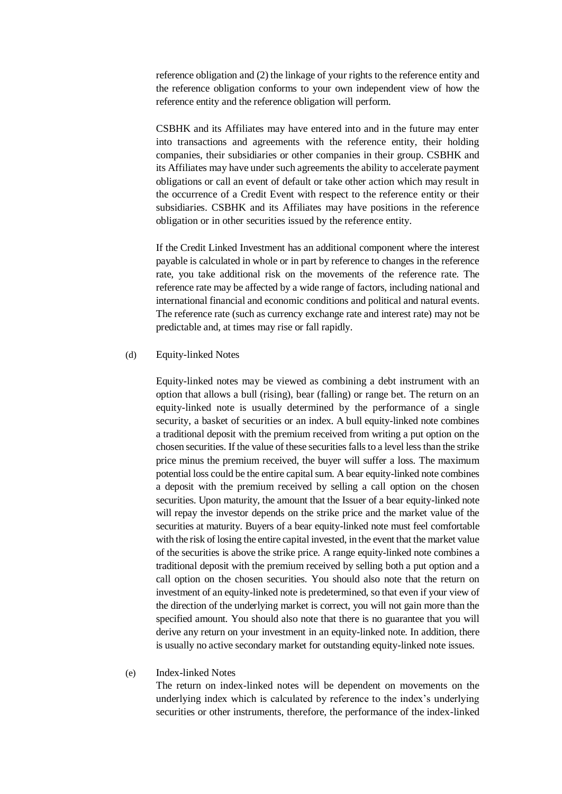reference obligation and (2) the linkage of your rights to the reference entity and the reference obligation conforms to your own independent view of how the reference entity and the reference obligation will perform.

CSBHK and its Affiliates may have entered into and in the future may enter into transactions and agreements with the reference entity, their holding companies, their subsidiaries or other companies in their group. CSBHK and its Affiliates may have under such agreements the ability to accelerate payment obligations or call an event of default or take other action which may result in the occurrence of a Credit Event with respect to the reference entity or their subsidiaries. CSBHK and its Affiliates may have positions in the reference obligation or in other securities issued by the reference entity.

If the Credit Linked Investment has an additional component where the interest payable is calculated in whole or in part by reference to changes in the reference rate, you take additional risk on the movements of the reference rate. The reference rate may be affected by a wide range of factors, including national and international financial and economic conditions and political and natural events. The reference rate (such as currency exchange rate and interest rate) may not be predictable and, at times may rise or fall rapidly.

#### (d) Equity-linked Notes

Equity-linked notes may be viewed as combining a debt instrument with an option that allows a bull (rising), bear (falling) or range bet. The return on an equity-linked note is usually determined by the performance of a single security, a basket of securities or an index. A bull equity-linked note combines a traditional deposit with the premium received from writing a put option on the chosen securities. If the value of these securities falls to a level less than the strike price minus the premium received, the buyer will suffer a loss. The maximum potential loss could be the entire capital sum. A bear equity-linked note combines a deposit with the premium received by selling a call option on the chosen securities. Upon maturity, the amount that the Issuer of a bear equity-linked note will repay the investor depends on the strike price and the market value of the securities at maturity. Buyers of a bear equity-linked note must feel comfortable with the risk of losing the entire capital invested, in the event that the market value of the securities is above the strike price. A range equity-linked note combines a traditional deposit with the premium received by selling both a put option and a call option on the chosen securities. You should also note that the return on investment of an equity-linked note is predetermined, so that even if your view of the direction of the underlying market is correct, you will not gain more than the specified amount. You should also note that there is no guarantee that you will derive any return on your investment in an equity-linked note. In addition, there is usually no active secondary market for outstanding equity-linked note issues.

### (e) Index-linked Notes

The return on index-linked notes will be dependent on movements on the underlying index which is calculated by reference to the index's underlying securities or other instruments, therefore, the performance of the index-linked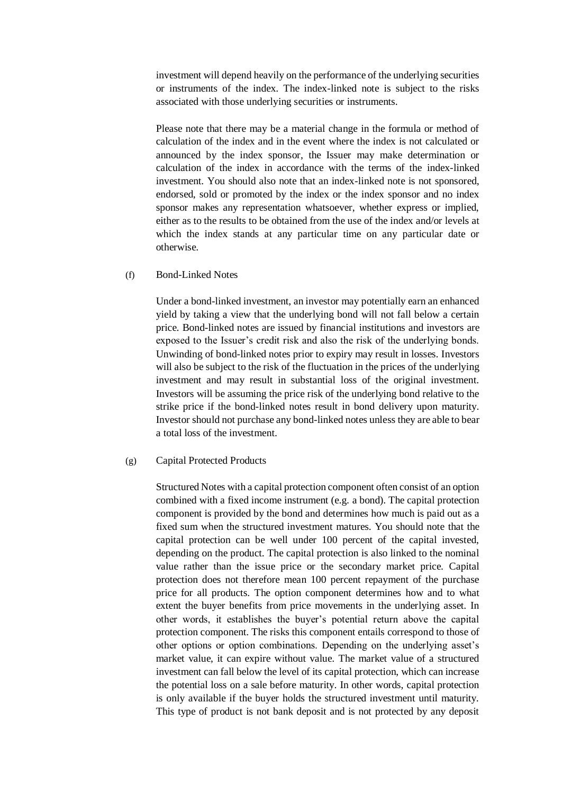investment will depend heavily on the performance of the underlying securities or instruments of the index. The index-linked note is subject to the risks associated with those underlying securities or instruments.

Please note that there may be a material change in the formula or method of calculation of the index and in the event where the index is not calculated or announced by the index sponsor, the Issuer may make determination or calculation of the index in accordance with the terms of the index-linked investment. You should also note that an index-linked note is not sponsored, endorsed, sold or promoted by the index or the index sponsor and no index sponsor makes any representation whatsoever, whether express or implied, either as to the results to be obtained from the use of the index and/or levels at which the index stands at any particular time on any particular date or otherwise.

## (f) Bond-Linked Notes

Under a bond-linked investment, an investor may potentially earn an enhanced yield by taking a view that the underlying bond will not fall below a certain price. Bond-linked notes are issued by financial institutions and investors are exposed to the Issuer's credit risk and also the risk of the underlying bonds. Unwinding of bond-linked notes prior to expiry may result in losses. Investors will also be subject to the risk of the fluctuation in the prices of the underlying investment and may result in substantial loss of the original investment. Investors will be assuming the price risk of the underlying bond relative to the strike price if the bond-linked notes result in bond delivery upon maturity. Investor should not purchase any bond-linked notes unless they are able to bear a total loss of the investment.

#### (g) Capital Protected Products

Structured Notes with a capital protection component often consist of an option combined with a fixed income instrument (e.g. a bond). The capital protection component is provided by the bond and determines how much is paid out as a fixed sum when the structured investment matures. You should note that the capital protection can be well under 100 percent of the capital invested, depending on the product. The capital protection is also linked to the nominal value rather than the issue price or the secondary market price. Capital protection does not therefore mean 100 percent repayment of the purchase price for all products. The option component determines how and to what extent the buyer benefits from price movements in the underlying asset. In other words, it establishes the buyer's potential return above the capital protection component. The risks this component entails correspond to those of other options or option combinations. Depending on the underlying asset's market value, it can expire without value. The market value of a structured investment can fall below the level of its capital protection, which can increase the potential loss on a sale before maturity. In other words, capital protection is only available if the buyer holds the structured investment until maturity. This type of product is not bank deposit and is not protected by any deposit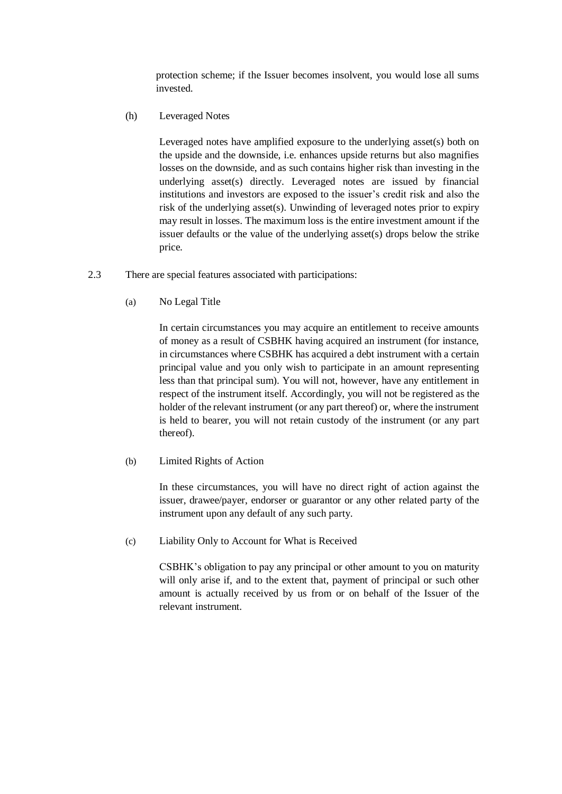protection scheme; if the Issuer becomes insolvent, you would lose all sums invested.

(h) Leveraged Notes

Leveraged notes have amplified exposure to the underlying asset(s) both on the upside and the downside, i.e. enhances upside returns but also magnifies losses on the downside, and as such contains higher risk than investing in the underlying asset(s) directly. Leveraged notes are issued by financial institutions and investors are exposed to the issuer's credit risk and also the risk of the underlying asset(s). Unwinding of leveraged notes prior to expiry may result in losses. The maximum loss is the entire investment amount if the issuer defaults or the value of the underlying asset(s) drops below the strike price.

- 2.3 There are special features associated with participations:
	- (a) No Legal Title

In certain circumstances you may acquire an entitlement to receive amounts of money as a result of CSBHK having acquired an instrument (for instance, in circumstances where CSBHK has acquired a debt instrument with a certain principal value and you only wish to participate in an amount representing less than that principal sum). You will not, however, have any entitlement in respect of the instrument itself. Accordingly, you will not be registered as the holder of the relevant instrument (or any part thereof) or, where the instrument is held to bearer, you will not retain custody of the instrument (or any part thereof).

(b) Limited Rights of Action

In these circumstances, you will have no direct right of action against the issuer, drawee/payer, endorser or guarantor or any other related party of the instrument upon any default of any such party.

(c) Liability Only to Account for What is Received

CSBHK's obligation to pay any principal or other amount to you on maturity will only arise if, and to the extent that, payment of principal or such other amount is actually received by us from or on behalf of the Issuer of the relevant instrument.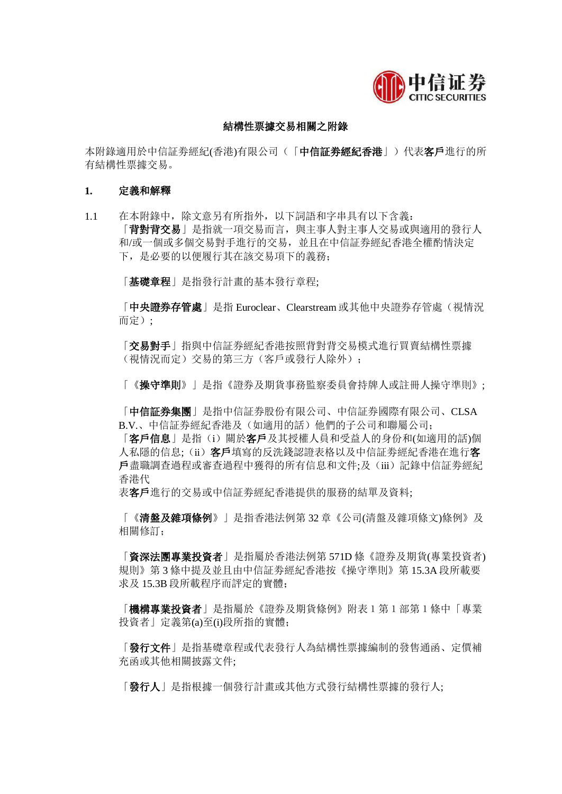

## 結構性票據交易相關之附錄

本附錄適用於中信証券經紀(香港)有限公司(「中信証券經紀香港」)代表客戶進行的所 有結構性票據交易。

### **1.** 定義和解釋

1.1 在本附錄中,除文意另有所指外,以下詞語和字串具有以下含義: 「背對背交易」是指就一項交易而言,與主事人對主事人交易或與適用的發行人 和/或一個或多個交易對手進行的交易,並且在中信証券經紀香港全權酌情決定 下,是必要的以便履行其在該交易項下的義務;

「基礎章程」是指發行計畫的基本發行章程;

「中央證券存管處」是指 Euroclear、Clearstream 或其他中央證券存管處(視情況 而定);

「交易對手」指與中信証券經紀香港按照背對背交易模式進行買賣結構性票據 (視情況而定)交易的第三方(客戶或發行人除外);

「《操守準則》」是指《證券及期貨事務監察委員會持牌人或註冊人操守準則》;

「中信証券集團」是指中信証券股份有限公司、中信証券國際有限公司、CLSA B.V.、中信証券經紀香港及(如適用的話)他們的子公司和聯屬公司;

「客戶信息」是指(i)關於客戶及其授權人員和受益人的身份和(如適用的話)個 人私隱的信息;(ii)客戶填寫的反洗錢認證表格以及中信証券經紀香港在進行客 戶盡職調查過程或審查過程中獲得的所有信息和文件;及(iii)記錄中信証劵經紀 香港代

表客戶進行的交易或中信証劵經紀香港提供的服務的結單及資料;

「《清盤及雜項條例》」是指香港法例第 32 章《公司(清盤及雜項條文)條例》及 相關修訂;

「資深法團專業投資者」是指屬於香港法例第 571D 條《證券及期貨(專業投資者) 規則》第 3 條中提及並且由中信証劵經紀香港按《操守準則》第 15.3A 段所載要 求及 15.3B 段所載程序而評定的實體;

「機構專業投資者」是指屬於《證券及期貨條例》附表1第1部第1條中「專業 投資者」定義第(a)至(i)段所指的實體;

「發行文件」是指基礎章程或代表發行人為結構性票據編制的發售通函、定價補 充函或其他相關披露文件;

「發行人」是指根據一個發行計畫或其他方式發行結構性票據的發行人;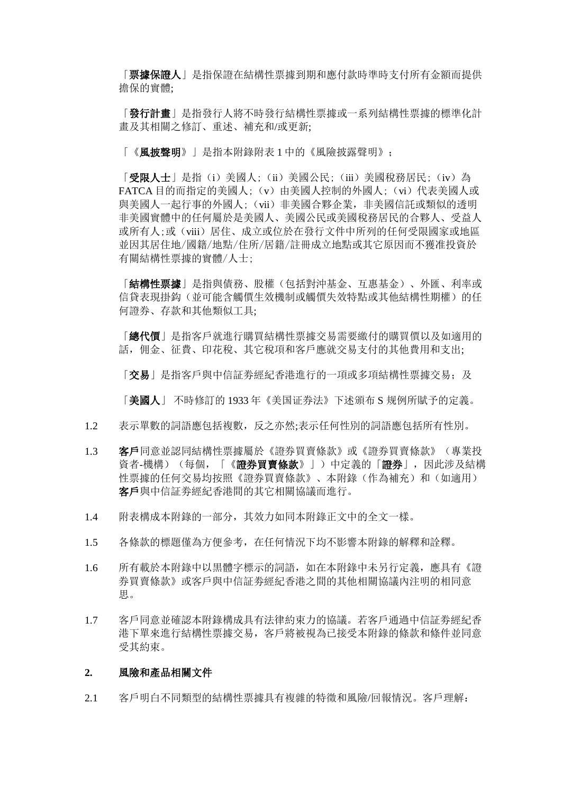「**票據保證人**」是指保證在結構性票據到期和應付款時準時支付所有金額而提供 擔保的實體;

「發行計畫」是指發行人將不時發行結構性票據或一系列結構性票據的標準化計 畫及其相關之修訂、重述、補充和/或更新;

「《風披聲明》」是指本附錄附表 1 中的《風險披露聲明》;

「受限人士」是指(i)美國人;(ii)美國公民;(iii)美國稅務居民;(iv)為 FATCA 目的而指定的美國人;(v)由美國人控制的外國人;(vi)代表美國人或 與美國人一起行事的外國人;(vii)非美國合夥企業, 非美國信託或類似的透明 非美國實體中的任何屬於是美國人、美國公民或美國稅務居民的合夥人、受益人 或所有人;或(viii)居住、成立或位於在發行文件中所列的任何受限國家或地區 並因其居住地/國籍/地點/住所/居籍/註冊成立地點或其它原因而不獲准投資於 有關結構性票據的實體/人士;

「結構性票據」是指與債務、股權(包括對沖基金、互惠基金)、外匯、利率或 信貸表現掛鈎(並可能含觸價生效機制或觸價失效特點或其他結構性期權)的任 何證券、存款和其他類似工具;

「總代價」是指客戶就進行購買結構性票據交易需要繳付的購買價以及如適用的 話,佣金、征費、印花稅、其它稅項和客戶應就交易支付的其他費用和支出;

「交易」是指客戶與中信証券經紀香港進行的一項或多項結構性票據交易;及

「美國人」 不時修訂的 1933 年《美国证券法》下述頒布 S 规例所賦予的定義。

- 1.2 表示單數的詞語應包括複數,反之亦然;表示任何性別的詞語應包括所有性別。
- 1.3 客戶同意並認同結構性票據屬於《證券買賣條款》或《證券買賣條款》(專業投 資者-機構)(每個,「《證券買賣條款》」)中定義的「證券」,因此涉及結構 性票據的任何交易均按照《證券買賣條款》、本附錄(作為補充)和(如適用) 客戶與中信証劵經紀香港間的其它相關協議而進行。
- 1.4 附表構成本附錄的一部分,其效力如同本附錄正文中的全文一樣。
- 1.5 各條款的標題僅為方便參考,在任何情況下均不影響本附錄的解釋和詮釋。
- 1.6 所有載於本附錄中以黒體字標示的詞語,如在本附錄中未另行定義,應具有《證 券買賣條款》或客戶與中信証劵經紀香港之間的其他相關協議內注明的相同意 思。
- 1.7 客戶同意並確認本附錄構成具有法律約束力的協議。若客戶通過中信証劵經紀香 港下單來進行結構性票據交易,客戶將被視為已接受本附錄的條款和條件並同意 受其約束。

#### **2.** 風險和產品相關文件

2.1 客戶明白不同類型的結構性票據具有複雜的特徵和風險/回報情況。客戶理解: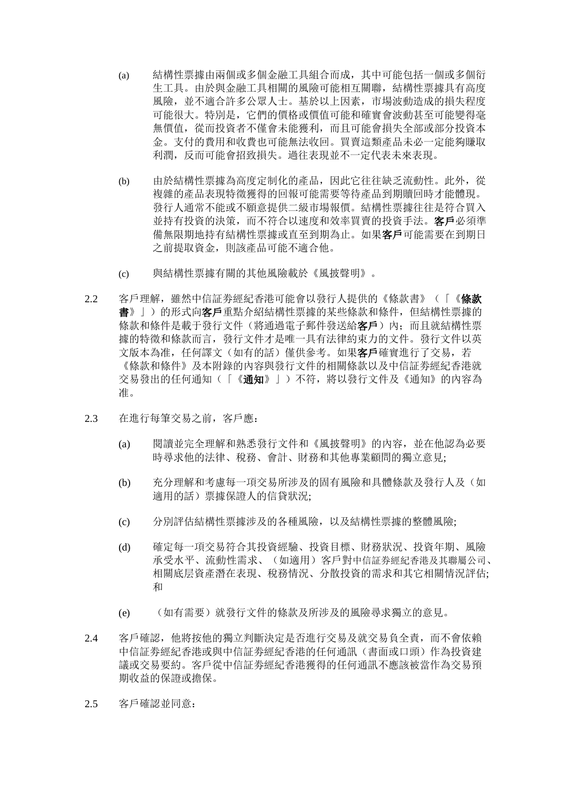- (a) 結構性票據由兩個或多個金融工具組合而成,其中可能包括一個或多個衍 生工具。由於與金融工具相關的風險可能相互關聯,結構性票據具有高度 風險,並不適合許多公眾人士。基於以上因素,市場波動造成的損失程度 可能很大。特別是,它們的價格或價值可能和確實會波動甚至可能變得毫 無價值,從而投資者不僅會未能獲利,而且可能會損失全部或部分投資本 金。支付的費用和收費也可能無法收回。買賣這類產品未必一定能夠賺取 利潤,反而可能會招致損失。過往表現並不一定代表未來表現。
- (b) 由於結構性票據為高度定制化的產品,因此它往往缺乏流動性。此外,從 複雜的產品表現特徵獲得的回報可能需要等待產品到期贖回時才能體現。 發行人通常不能或不願意提供二級市場報價。結構性票據往往是符合買入 並持有投資的決策,而不符合以速度和效率買賣的投資手法。客戶必須準 借無限期地持有結構性票據或直至到期為止。如果客戶可能需要在到期日 之前提取資金,則該產品可能不適合他。
- (c) 與結構性票據有關的其他風險載於《風披聲明》。
- 2.2 客戶理解, 雖然中信証券經紀香港可能會以發行人提供的《條款書》(「《**條款** 書》」)的形式向客戶重點介紹結構性票據的某些條款和條件,但結構性票據的 條款和條件是載于發行文件(將通過電子郵件發送給客戶)內;而且就結構性票 據的特徵和條款而言,發行文件才是唯一具有法律約束力的文件。發行文件以英 文版本為准,任何譯文(如有的話)僅供參考。如果客戶確實進行了交易,若 《條款和條件》及本附錄的內容與發行文件的相關條款以及中信証券經紀香港就 交易發出的任何通知(「《通知》」)不符,將以發行文件及《通知》的內容為 准。
- 2.3 在進行每筆交易之前,客戶應:
	- (a) 閱讀並完全理解和熟悉發行文件和《風披聲明》的內容,並在他認為必要 時尋求他的法律、稅務、會計、財務和其他專業顧問的獨立意見;
	- (b) 充分理解和考慮每一項交易所涉及的固有風險和具體條款及發行人及(如 適用的話)票據保證人的信貸狀況;
	- (c) 分別評估結構性票據涉及的各種風險,以及結構性票據的整體風險;
	- (d) 確定每一項交易符合其投資經驗、投資目標、財務狀況、投資年期、風險 承受水平、流動性需求、(如適用)客戶對中信証券經紀香港及其聯屬公司、 相關底层資產潛在表現、稅務情況、分散投資的需求和其它相關情況評估; 和
	- (e) (如有需要)就發行文件的條款及所涉及的風險尋求獨立的意見。
- 2.4 客戶確認,他將按他的獨立判斷決定是否進行交易及就交易負全責,而不會依賴 中信証劵經紀香港或與中信証劵經紀香港的任何通訊(書面或口頭)作為投資建 議或交易要約。客戶從中信証劵經紀香港獲得的任何通訊不應該被當作為交易預 期收益的保證或擔保。
- 2.5 客戶確認並同意: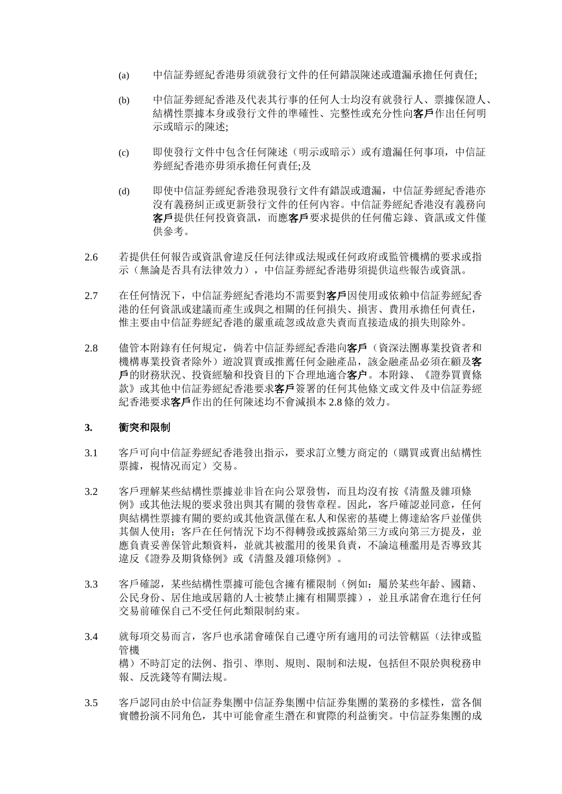- (a) 中信証劵經紀香港毋須就發行文件的任何錯誤陳述或遺漏承擔任何責任;
- (b) 中信証劵經紀香港及代表其行事的任何人士均沒有就發行人、票據保證人、 結構性票據本身或發行文件的準確性、完整性或充分性向客戶作出任何明 示或暗示的陳述;
- (c) 即使發行文件中包含任何陳述(明示或暗示)或有遺漏任何事項,中信証 劵經紀香港亦毋須承擔任何責任;及
- (d) 即使中信証劵經紀香港發現發行文件有錯誤或遺漏,中信証劵經紀香港亦 沒有義務糾正或更新發行文件的任何內容。中信証劵經紀香港沒有義務向 客戶提供任何投資資訊,而應客戶要求提供的任何備忘錄、資訊或文件僅 供參考。
- 2.6 若提供任何報告或資訊會違反任何法律或法規或任何政府或監管機構的要求或指 示(無論是否具有法律效力),中信証劵經紀香港毋須提供這些報告或資訊。
- 2.7 在任何情況下,中信証券經紀香港均不需要對客戶因使用或依賴中信証券經紀香 港的任何資訊或建議而產生或與之相關的任何損失、損害、費用承擔任何責任, 惟主要由中信証劵經紀香港的嚴重疏忽或故意失責而直接造成的損失則除外。
- 2.8 儘管本附錄有任何規定, 倘若中信証券經紀香港向客戶(資深法團專業投資者和 機構專業投資者除外)遊說買賣或推薦任何金融產品,該金融產品必須在顧及客 戶的財務狀況、投資經驗和投資目的下合理地適合客户。本附錄、《證券買賣條 款》或其他中信証劵經紀香港要求客戶簽署的任何其他條文或文件及中信証劵經 紀香港要求客戶作出的任何陳述均不會減損本 2.8 條的效力。

## **3.** 衝突和限制

- 3.1 客戶可向中信証劵經紀香港發出指示,要求訂立雙方商定的(購買或賣出結構性 票據,視情况而定)交易。
- 3.2 客戶理解某些結構性票據並非旨在向公眾發售,而且均沒有按《清盤及雜項條 例》或其他法規的要求發出與其有關的發售章程。因此,客戶確認並同意,任何 與結構性票據有關的要約或其他資訊僅在私人和保密的基礎上傳達給客戶並僅供 其個人使用;客戶在任何情況下均不得轉發或披露給第三方或向第三方提及,並 應負責妥善保管此類資料,並就其被濫用的後果負責,不論這種濫用是否導致其 違反《證券及期貨條例》或《清盤及雜項條例》。
- 3.3 客戶確認,某些結構性票據可能包含擁有權限制(例如:屬於某些年齡、國籍、 公民身份、居住地或居籍的人士被禁止擁有相關票據),並且承諾會在進行任何 交易前確保自己不受任何此類限制約束。
- 3.4 就每項交易而言,客戶也承諾會確保自己遵守所有適用的司法管轄區(法律或監 管機 構)不時訂定的法例、指引、準則、規則、限制和法規,包括但不限於與稅務申 報、反洗錢等有關法規。
- 3.5 客戶認同由於中信証券集團中信証券集團中信証券集團的業務的多樣性,當各個 實體扮演不同角色,其中可能會產生潛在和實際的利益衝突。中信証券集團的成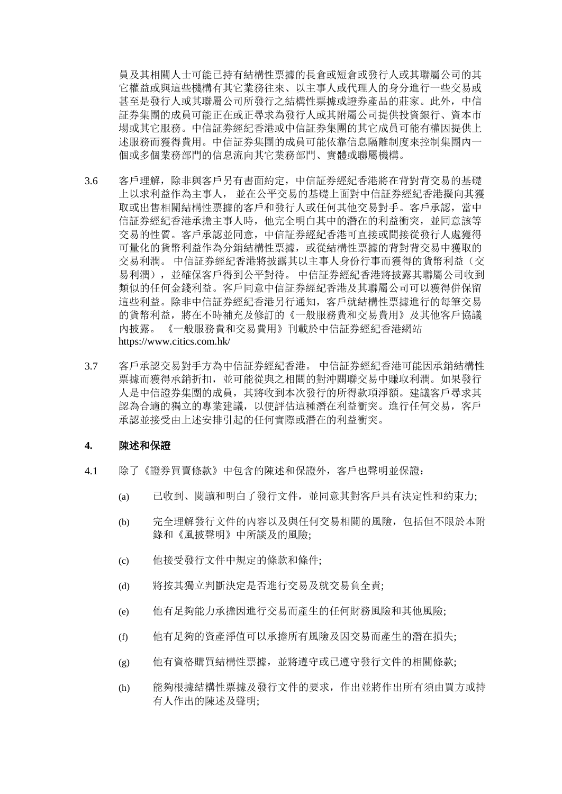員及其相關人士可能已持有結構性票據的長倉或短倉或發行人或其聯屬公司的其 它權益或與這些機構有其它業務往來、以主事人或代理人的身分進行一些交易或 甚至是發行人或其聯屬公司所發行之結構性票據或證券產品的莊家。此外,中信 証券集團的成員可能正在或正尋求為發行人或其附屬公司提供投資銀行、資本市 場或其它服務。中信証劵經紀香港或中信証券集團的其它成員可能有權因提供上 述服務而獲得費用。中信証券集團的成員可能依靠信息隔離制度來控制集團內一 個或多個業務部門的信息流向其它業務部門、實體或聯屬機構。

- 3.6 客戶理解,除非與客戶另有書面約定,中信証券經紀香港將在背對背交易的基礎 上以求利益作為主事人, 並在公平交易的基礎上面對中信証券經紀香港擬向其獲 取或出售相關結構性票據的客戶和發行人或任何其他交易對手。客戶承認,當中 信証券經紀香港承擔主事人時,他完全明白其中的潛在的利益衝突,並同意該等 交易的性質。客戶承認並同意,中信証券經紀香港可直接或間接從發行人處獲得 可量化的貨幣利益作為分銷結構性票據,或從結構性票據的背對背交易中獲取的 交易利潤。 中信証券經紀香港將披露其以主事人身份行事而獲得的貨幣利益(交 易利潤),並確保客戶得到公平對待。 中信証券經紀香港將披露其聯屬公司收到 類似的任何金錢利益。客戶同意中信証券經紀香港及其聯屬公司可以獲得併保留 這些利益。除非中信証券經紀香港另行通知,客戶就結構性票據進行的每筆交易 的貨幣利益,將在不時補充及修訂的《一般服務費和交易費用》及其他客戶協議 內披露。 《一般服務費和交易費用》刊載於中信証券經紀香港網站 https://www.citics.com.hk/
- 3.7 客戶承認交易對手方為中信証券經紀香港。 中信証券經紀香港可能因承銷結構性 票據而獲得承銷折扣,並可能從與之相關的對沖關聯交易中賺取利潤。如果發行 人是中信證券集團的成員,其將收到本次發行的所得款項淨額。建議客戶尋求其 認為合適的獨立的專業建議,以便評估這種潛在利益衝突。進行任何交易,客戶 承認並接受由上述安排引起的任何實際或潛在的利益衝突。

## **4.** 陳述和保證

- 4.1 除了《證券買賣條款》中包含的陳述和保證外,客戶也聲明並保證:
	- (a) 已收到、閱讀和明白了發行文件,並同意其對客戶具有決定性和約束力;
	- (b) 完全理解發行文件的內容以及與任何交易相關的風險,包括但不限於本附 錄和《風披聲明》中所談及的風險;
	- (c) 他接受發行文件中規定的條款和條件;
	- (d) 將按其獨立判斷決定是否進行交易及就交易負全責;
	- (e) 他有足夠能力承擔因進行交易而產生的任何財務風險和其他風險;
	- (f) 他有足夠的資產淨值可以承擔所有風險及因交易而產生的潛在損失;
	- (g) 他有資格購買結構性票據,並將遵守或已遵守發行文件的相關條款;
	- (h) 能夠根據結構性票據及發行文件的要求,作出並將作出所有須由買方或持 有人作出的陳述及聲明;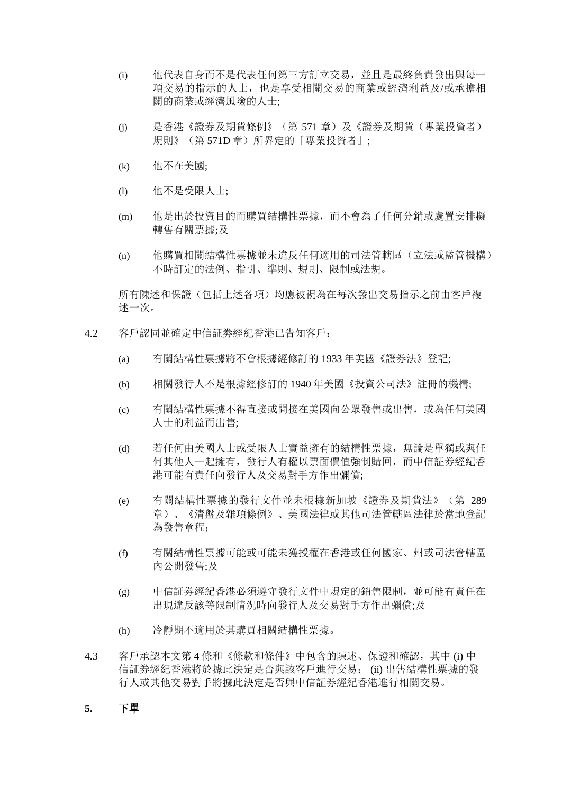- (i) 他代表自身而不是代表任何第三方訂立交易,並且是最終負責發出與每一 項交易的指示的人士,也是享受相關交易的商業或經濟利益及/或承擔相 關的商業或經濟風險的人士;
- (j) 是香港《證券及期貨條例》(第 571 章)及《證券及期貨(專業投資者) 規則》(第 571D 章)所界定的「專業投資者」;
- (k) 他不在美國;
- (l) 他不是受限人士;
- (m) 他是出於投資目的而購買結構性票據,而不會為了任何分銷或處置安排擬 轉售有關票據;及
- (n) 他購買相關結構性票據並未違反任何適用的司法管轄區(立法或監管機構) 不時訂定的法例、指引、準則、規則、限制或法規。

所有陳述和保證(包括上述各項)均應被視為在每次發出交易指示之前由客戶複 述一次。

- 4.2 客戶認同並確定中信証劵經紀香港已告知客戶:
	- (a) 有關結構性票據將不會根據經修訂的 1933 年美國《證券法》登記;
	- (b) 相關發行人不是根據經修訂的 1940 年美國《投資公司法》註冊的機構;
	- (c) 有關結構性票據不得直接或間接在美國向公眾發售或出售,或為任何美國 人士的利益而出售;
	- (d) 若任何由美國人士或受限人士實益擁有的結構性票據,無論是單獨或與任 何其他人一起擁有,發行人有權以票面價值強制購回,而中信証劵經紀香 港可能有責任向發行人及交易對手方作出彌償;
	- (e) 有關結構性票據的發行文件並未根據新加坡《證券及期貨法》(第 289 章)、《清盤及雜項條例》、美國法律或其他司法管轄區法律於當地登記 為發售章程;
	- (f) 有關結構性票據可能或可能未獲授權在香港或任何國家、州或司法管轄區 內公開發售;及
	- (g) 中信証劵經紀香港必須遵守發行文件中規定的銷售限制,並可能有責任在 出現違反該等限制情況時向發行人及交易對手方作出彌償;及
	- (h) 冷靜期不適用於其購買相關結構性票據。
- 4.3 客戶承認本文第 4 條和《條款和條件》中包含的陳述、保證和確認,其中 (i) 中 信証券經紀香港將於據此決定是否與該客戶進行交易; (ii) 出售結構性票據的發 行人或其他交易對手將據此決定是否與中信証券經紀香港進行相關交易。

### **5.** 下單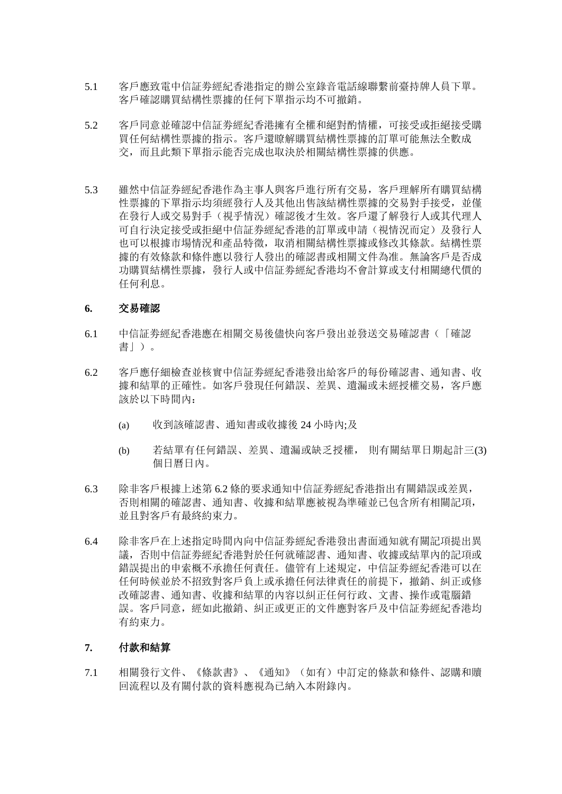- 5.1 客戶應致電中信証劵經紀香港指定的辦公室錄音電話線聯繫前臺持牌人員下單。 客戶確認購買結構性票據的任何下單指示均不可撤銷。
- 5.2 客戶同意並確認中信証劵經紀香港擁有全權和絕對酌情權,可接受或拒絕接受購 買任何結構性票據的指示。客戶還瞭解購買結構性票據的訂單可能無法全數成 交,而且此類下單指示能否完成也取決於相關結構性票據的供應。
- 5.3 雖然中信証券經紀香港作為主事人與客戶進行所有交易,客戶理解所有購買結構 性票據的下單指示均須經發行人及其他出售該結構性票據的交易對手接受,並僅 在發行人或交易對手(視乎情況)確認後才生效。客戶還了解發行人或其代理人 可自行決定接受或拒絕中信証券經紀香港的訂單或申請(視情況而定)及發行人 也可以根據市場情況和產品特徵,取消相關結構性票據或修改其條款。結構性票 據的有效條款和條件應以發行人發出的確認書或相關文件為准。無論客戶是否成 功購買結構性票據,發行人或中信証劵經紀香港均不會計算或支付相關總代價的 任何利息。

## **6.** 交易確認

- 6.1 中信証劵經紀香港應在相關交易後儘快向客戶發出並發送交易確認書(「確認 書」)。
- 6.2 客戶應仔細檢查並核實中信証劵經紀香港發出給客戶的每份確認書、通知書、收 據和結單的正確性。如客戶發現任何錯誤、差異、遺漏或未經授權交易,客戶應 該於以下時間內:
	- (a) 收到該確認書、通知書或收據後 24 小時內;及
	- (b) 若結單有任何錯誤、差異、遺漏或缺乏授權, 則有關結單日期起計三(3) 個日曆日內。
- 6.3 除非客戶根據上述第 6.2 條的要求通知中信証劵經紀香港指出有關錯誤或差異, 否則相關的確認書、通知書、收據和結單應被視為準確並已包含所有相關記項, 並且對客戶有最終約束力。
- 6.4 除非客戶在上述指定時間內向中信証劵經紀香港發出書面通知就有關記項提出異 議,否則中信証劵經紀香港對於任何就確認書、通知書、收據或結單內的記項或 錯誤提出的申索概不承擔任何責任。儘管有上述規定,中信証劵經紀香港可以在 任何時候並於不招致對客戶負上或承擔任何法律責任的前提下,撤銷、糾正或修 改確認書、通知書、收據和結單的內容以糾正任何行政、文書、操作或電腦錯 誤。客戶同意,經如此撤銷、糾正或更正的文件應對客戶及中信証劵經紀香港均 有約束力。

# **7.** 付款和結算

7.1 相關發行文件、《條款書》、《通知》(如有)中訂定的條款和條件、認購和贖 回流程以及有關付款的資料應視為已納入本附錄內。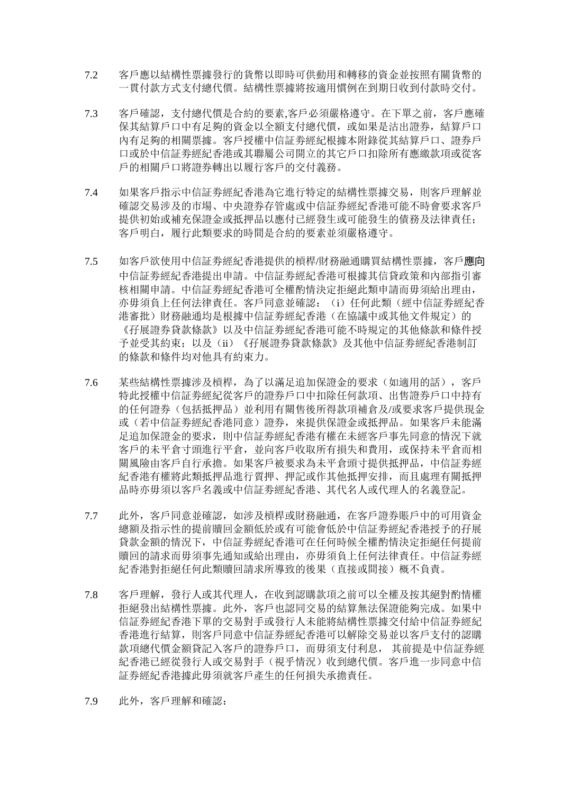- 7.2 客戶應以結構性票據發行的貨幣以即時可供動用和轉移的資金並按照有關貨幣的 一貫付款方式支付總代價。結構性票據將按適用慣例在到期日收到付款時交付。
- 7.3 客戶確認,支付總代價是合約的要素,客戶必須嚴格遵守。在下單之前,客戶應確 保其結算戶口中有足夠的資金以全額支付總代價,或如果是沽出證券,結算戶口 內有足夠的相關票據。客戶授權中信証劵經紀根據本附錄從其結算戶口、證券戶 口或於中信証劵經紀香港或其聯屬公司開立的其它戶口扣除所有應繳款項或從客 戶的相關戶口將證券轉出以履行客戶的交付義務。
- 7.4 如果客戶指示中信証劵經紀香港為它進行特定的結構性票據交易,則客戶理解並 確認交易涉及的市場、中央證券存管處或中信証券經紀香港可能不時會要求客戶 提供初始或補充保證金或抵押品以應付已經發生或可能發生的債務及法律責任; 客戶明白,履行此類要求的時間是合約的要素並須嚴格遵守。
- 7.5 如客戶欲使用中信証劵經紀香港提供的槓桿/財務融通購買結構性票據,客戶應向 中信証劵經紀香港提出申請。中信証劵經紀香港可根據其信貸政策和內部指引審 核相關申請。中信証劵經紀香港可全權酌情決定拒絕此類申請而毋須給出理由, 亦毋須負上任何法律責任。客戶同意並確認: (i) 任何此類(經中信証券經紀香 港審批)財務融通均是根據中信証劵經紀香港(在協議中或其他文件規定)的 《孖展證券貸款條款》以及中信証劵經紀香港可能不時規定的其他條款和條件授 予並受其約束;以及(ii)《孖展證券貸款條款》及其他中信証劵經紀香港制訂 的條款和條件均对他具有約束力。
- 7.6 某些結構性票據涉及槓桿,為了以滿足追加保證金的要求(如適用的話),客戶 特此授權中信証劵經紀從客戶的證券戶口中扣除任何款項、出售證券戶口中持有 的任何證券(包括抵押品)並利用有關售後所得款項補倉及/或要求客戶提供現金 或(若中信証劵經紀香港同意)證券,來提供保證金或抵押品。如果客戶未能滿 足追加保證金的要求,則中信証劵經紀香港有權在未經客戶事先同意的情況下就 客戶的未平倉寸頭進行平倉,並向客戶收取所有損失和費用,或保持未平倉而相 關風險由客戶自行承擔。如果客戶被要求為未平倉頭寸提供抵押品,中信証劵經 紀香港有權將此類抵押品進行質押、押記或作其他抵押安排,而且處理有關抵押 品時亦毋須以客戶名義或中信証劵經紀香港、其代名人或代理人的名義登記。
- 7.7 此外,客戶同意並確認,如涉及槓桿或財務融通,在客戶證券賬戶中的可用資金 總額及指示性的提前贖回金額低於或有可能會低於中信証劵經紀香港授予的孖展 貸款金額的情況下,中信証劵經紀香港可在任何時候全權酌情決定拒絕任何提前 贖回的請求而毋須事先通知或給出理由,亦毋須負上任何法律責任。中信証劵經 紀香港對拒絕任何此類贖回請求所導致的後果(直接或間接)概不負責。
- 7.8 客戶理解,發行人或其代理人,在收到認購款項之前可以全權及按其絕對酌情權 拒絕發出結構性票據。此外,客戶也認同交易的結算無法保證能夠完成。如果中 信証券經紀香港下單的交易對手或發行人未能將結構性票據交付給中信証券經紀 香港進行結算,則客戶同意中信証券經紀香港可以解除交易並以客戶支付的認購 款項總代價金額貸記入客戶的證券戶口,而毋須支付利息, 其前提是中信証券經 紀香港已經從發行人或交易對手(視乎情況)收到總代價。客戶進一步同意中信 証券經紀香港據此毋須就客戶產生的任何損失承擔責任。
- 7.9 此外,客戶理解和確認: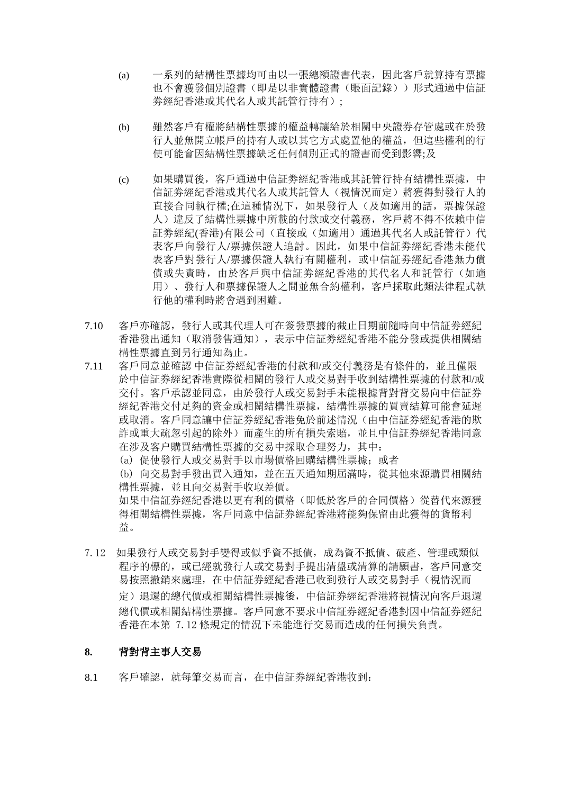- (a) 一系列的結構性票據均可由以一張總額證書代表,因此客戶就算持有票據 也不會獲發個別證書(即是以非實體證書(賬面記錄))形式通過中信証 劵經紀香港或其代名人或其託管行持有);
- (b) 雖然客戶有權將結構性票據的權益轉讓給於相關中央證券存管處或在於發 行人並無開立帳戶的持有人或以其它方式處置他的權益,但這些權利的行 使可能會因結構性票據缺乏任何個別正式的證書而受到影響;及
- (c) 如果購買後,客戶通過中信証劵經紀香港或其託管行持有結構性票據,中 信証劵經紀香港或其代名人或其託管人(視情況而定)將獲得對發行人的 直接合同執行權;在這種情況下,如果發行人(及如適用的話,票據保證 人)違反了結構性票據中所載的付款或交付義務,客戶將不得不依賴中信 証券經紀(香港)有限公司(直接或(如適用)通過其代名人或託管行)代 表客戶向發行人/票據保證人追討。因此,如果中信証劵經紀香港未能代 表客戶對發行人/票據保證人執行有關權利,或中信証劵經紀香港無力償 債或失責時,由於客戶與中信証劵經紀香港的其代名人和託管行(如適 用)、發行人和票據保證人之間並無合約權利,客戶採取此類法律程式執 行他的權利時將會遇到困難。
- 7.10 客戶亦確認,發行人或其代理人可在簽發票據的截止日期前隨時向中信証劵經紀 香港發出通知(取消發售通知),表示中信証劵經紀香港不能分發或提供相關結 構性票據直到另行通知為止。
- 7.11 客戶同意並確認 中信証券經紀香港的付款和/或交付義務是有條件的,並且僅限 於中信証券經紀香港實際從相關的發行人或交易對手收到結構性票據的付款和/或 交付。客戶承認並同意,由於發行人或交易對手未能根據背對背交易向中信証券 經紀香港交付足夠的資金或相關結構性票據,結構性票據的買賣結算可能會延遲 或取消。客戶同意讓中信証券經紀香港免於前述情況(由中信証券經紀香港的欺 詐或重大疏忽引起的除外)而產生的所有損失索賠,並且中信証券經紀香港同意 在涉及客户購買結構性票據的交易中採取合理努力,其中:

(a) 促使發行人或交易對手以市場價格回購結構性票據;或者

(b) 向交易對手發出買入通知,並在五天通知期屆滿時,從其他來源購買相關結 構性票據,並且向交易對手收取差價。 如果中信証券經紀香港以更有利的價格(即低於客戶的合同價格)從替代來源獲

得相關結構性票據,客戶同意中信証券經紀香港將能夠保留由此獲得的貨幣利 益。

7.12 如果發行人或交易對手變得或似乎資不抵債,成為資不抵債、破產、管理或類似 程序的標的,或已經就發行人或交易對手提出清盤或清算的請願書,客戶同意交 易按照撤銷來處理,在中信証券經紀香港已收到發行人或交易對手(視情況而 定)退還的總代價或相關結構性票據後,中信証券經紀香港將視情況向客戶退還 總代價或相關結構性票據。客戶同意不要求中信証券經紀香港對因中信証券經紀 香港在本第 7.12 條規定的情況下未能進行交易而造成的任何損失負責。

## **8.** 背對背主事人交易

8.1 客戶確認,就每筆交易而言,在中信証券經紀香港收到: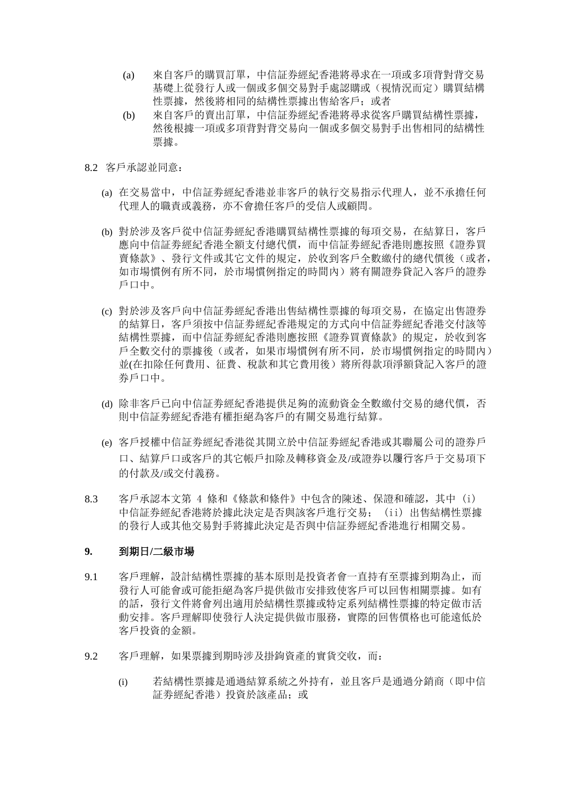- (a) 來自客戶的購買訂單,中信証券經紀香港將尋求在一項或多項背對背交易 基礎上從發行人或一個或多個交易對手處認購或(視情況而定)購買結構 性票據,然後將相同的結構性票據出售給客戶;或者
- (b) 來自客戶的賣出訂單,中信証券經紀香港將尋求從客戶購買結構性票據, 然後根據一項或多項背對背交易向一個或多個交易對手出售相同的結構性 票據。
- 8.2 客戶承認並同意:
	- (a) 在交易當中,中信証劵經紀香港並非客戶的執行交易指示代理人,並不承擔任何 代理人的職責或義務,亦不會擔任客戶的受信人或顧問。
	- (b) 對於涉及客戶從中信証劵經紀香港購買結構性票據的每項交易,在結算日,客戶 應向中信証劵經紀香港全額支付總代價,而中信証劵經紀香港則應按照《證券買 賣條款》、發行文件或其它文件的規定,於收到客戶全數繳付的總代價後(或者, 如市場慣例有所不同,於市場慣例指定的時間內)將有關證券貸記入客戶的證券 戶口中。
	- (c) 對於涉及客戶向中信証劵經紀香港出售結構性票據的每項交易,在協定出售證券 的結算日,客戶須按中信証劵經紀香港規定的方式向中信証劵經紀香港交付該等 結構性票據,而中信証劵經紀香港則應按照《證券買賣條款》的規定,於收到客 戶全數交付的票據後(或者,如果市場慣例有所不同,於市場慣例指定的時間內) 並(在扣除任何費用、征費、稅款和其它費用後)將所得款項淨額貸記入客戶的證 券戶口中。
	- (d) 除非客戶已向中信証劵經紀香港提供足夠的流動資金全數繳付交易的總代價,否 則中信証劵經紀香港有權拒絕為客戶的有關交易進行結算。
	- (e) 客戶授權中信証劵經紀香港從其開立於中信証劵經紀香港或其聯屬公司的證券戶 口、結算戶口或客戶的其它帳戶扣除及轉移資金及/或證券以履行客戶于交易項下 的付款及/或交付義務。
- 8.3 客戶承認本文第 4 條和《條款和條件》中包含的陳述、保證和確認,其中 (i) 中信証券經紀香港將於據此決定是否與該客戶進行交易; (ii) 出售結構性票據 的發行人或其他交易對手將據此決定是否與中信証券經紀香港進行相關交易。

# **9.** 到期日**/**二級市場

- 9.1 客戶理解,設計結構性票據的基本原則是投資者會一直持有至票據到期為止,而 發行人可能會或可能拒絕為客戶提供做市安排致使客戶可以回售相關票據。如有 的話,發行文件將會列出適用於結構性票據或特定系列結構性票據的特定做市活 動安排。客戶理解即使發行人決定提供做市服務,實際的回售價格也可能遠低於 客戶投資的金額。
- 9.2 客戶理解,如果票據到期時涉及掛鉤資產的實貨交收,而:
	- (i) 若結構性票據是通過結算系統之外持有,並且客戶是通過分銷商(即中信 証劵經紀香港)投資於該產品;或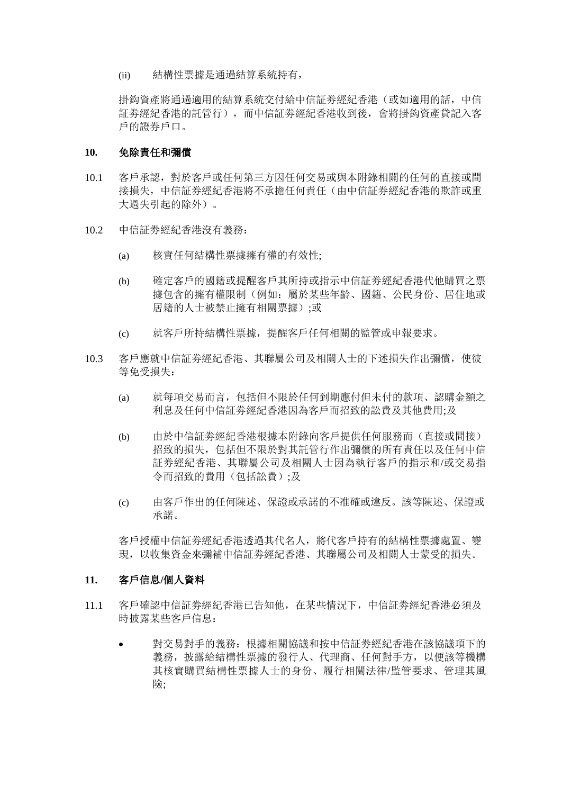(ii) 結構性票據是通過結算系統持有,

掛鈎資產將通過適用的結算系統交付給中信証劵經紀香港(或如適用的話,中信 証劵經紀香港的託管行),而中信証劵經紀香港收到後,會將掛鈎資產貸記入客 戶的證券戶口。

## **10.** 免除責任和彌償

- 10.1 客戶承認,對於客戶或任何第三方因任何交易或與本附錄相關的任何的直接或間 接損失,中信証券經紀香港將不承擔任何責任(由中信証券經紀香港的欺詐或重 大過失引起的除外)。
- 10.2 中信証劵經紀香港沒有義務:
	- (a) 核實任何結構性票據擁有權的有效性;
	- (b) 確定客戶的國籍或提醒客戶其所持或指示中信証劵經紀香港代他購買之票 據包含的擁有權限制(例如:屬於某些年齡、國籍、公民身份、居住地或 居籍的人十被禁止擁有相關票據);或
	- (c) 就客戶所持結構性票據,提醒客戶任何相關的監管或申報要求。
- 10.3 客戶應就中信証劵經紀香港、其聯屬公司及相關人士的下述損失作出彌償,使彼 等免受損失:
	- (a) 就每項交易而言,包括但不限於任何到期應付但未付的款項、認購金額之 利息及任何中信証劵經紀香港因為客戶而招致的訟費及其他費用;及
	- (b) 由於中信証劵經紀香港根據本附錄向客戶提供任何服務而(直接或間接) 招致的損失,包括但不限於對其託管行作出彌償的所有責任以及任何中信 証劵經紀香港、其聯屬公司及相關人士因為執行客戶的指示和/或交易指 令而招致的費用(包括訟費);及
	- (c) 由客戶作出的任何陳述、保證或承諾的不准確或違反。該等陳述、保證或 承諾。

客戶授權中信証劵經紀香港透過其代名人,將代客戶持有的結構性票據處置、變 現,以收集資金來彌補中信証劵經紀香港、其聯屬公司及相關人士蒙受的損失。

### **11.** 客戶信息**/**個人資料

- 11.1 客戶確認中信証劵經紀香港已告知他,在某些情況下,中信証劵經紀香港必須及 時披露某些客戶信息:
	- 對交易對手的義務:根據相關協議和按中信証劵經紀香港在該協議項下的 義務,披露給結構性票據的發行人、代理商、任何對手方,以便該等機構 其核實購買結構性票據人士的身份、履行相關法律/監管要求、管理其風 險;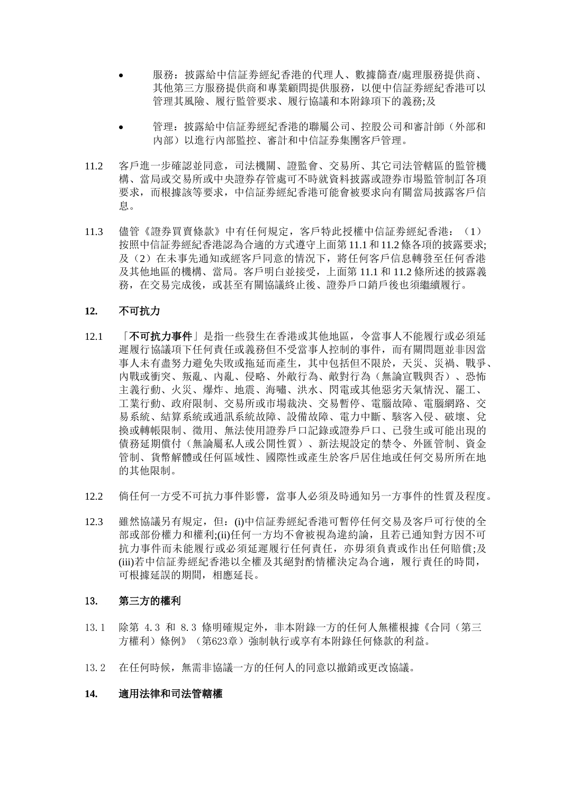- 服務: 披露給中信証券經紀香港的代理人、數據篩查/處理服務提供商、 其他第三方服務提供商和專業顧問提供服務,以便中信証劵經紀香港可以 管理其風險、履行監管要求、履行協議和本附錄項下的義務;及
- 管理:披露給中信証劵經紀香港的聯屬公司、控股公司和審計師(外部和 內部)以進行內部監控、審計和中信証券集團客戶管理。
- 11.2 客戶進一步確認並同意,司法機關、證監會、交易所、其它司法管轄區的監管機 構、當局或交易所或中央證券存管處可不時就資料披露或證券市場監管制訂各項 要求,而根據該等要求,中信証劵經紀香港可能會被要求向有關當局披露客戶信 息。
- 11.3 儘管《證券買賣條款》中有任何規定, 客戶特此授權中信証券經紀香港: (1) 按照中信証劵經紀香港認為合適的方式遵守上面第 11.1和 11.2條各項的披露要求; 及(2)在未事先通知或經客戶同意的情況下,將任何客戶信息轉發至任何香港 及其他地區的機構、當局。客戶明白並接受,上面第 11.1 和 11.2 條所述的披露義 務,在交易完成後,或甚至有關協議終止後、證券戶口銷戶後也須繼續履行。

### **12.** 不可抗力

- 12.1 「不可抗力事件」是指一些發生在香港或其他地區, 令當事人不能履行或必須延 遲履行協議項下任何責任或義務但不受當事人控制的事件,而有關問題並非因當 事人未有盡努力避免失敗或拖延而產生,其中包括但不限於,天災、災禍、戰爭、 內戰或衝突、叛亂、內亂、侵略、外敵行為、敵對行為(無論宣戰與否)、恐怖 主義行動、火災、爆炸、地震、海嘯、洪水、閃電或其他惡劣天氣情況、罷工、 工業行動、政府限制、交易所或市場裁決、交易暫停、電腦故障、電腦網路、交 易系統、結算系統或通訊系統故障、設備故障、電力中斷、駭客入侵、破壞、兌 換或轉帳限制、徵用、無法使用證券戶口記錄或證券戶口、已發生或可能出現的 債務延期償付(無論屬私人或公開性質)、新法規設定的禁令、外匯管制、資金 管制、貨幣解體或任何區域性、國際性或產生於客戶居住地或任何交易所所在地 的其他限制。
- 12.2 倘任何一方受不可抗力事件影響,當事人必須及時通知另一方事件的性質及程度。
- 12.3 雖然協議另有規定, 但: (i)中信証券經紀香港可暫停任何交易及客戶可行使的全 部或部份權力和權利;(ii)任何一方均不會被視為違約論,且若已通知對方因不可 抗力事件而未能履行或必須延遲履行任何責任,亦毋須負責或作出任何賠償;及 (iii)若中信証劵經紀香港以全權及其絕對酌情權決定為合適,履行責任的時間, 可根據延誤的期間,相應延長。

### 13. 第三方的權利

- 13.1 除第 4.3 和 8.3 條明確規定外,非本附錄一方的任何人無權根據《合同(第三 方權利)條例》(第623章)強制執行或享有本附錄任何條款的利益。
- 13.2 在任何時候,無需非協議一方的任何人的同意以撤銷或更改協議。

#### **14.** 適用法律和司法管轄權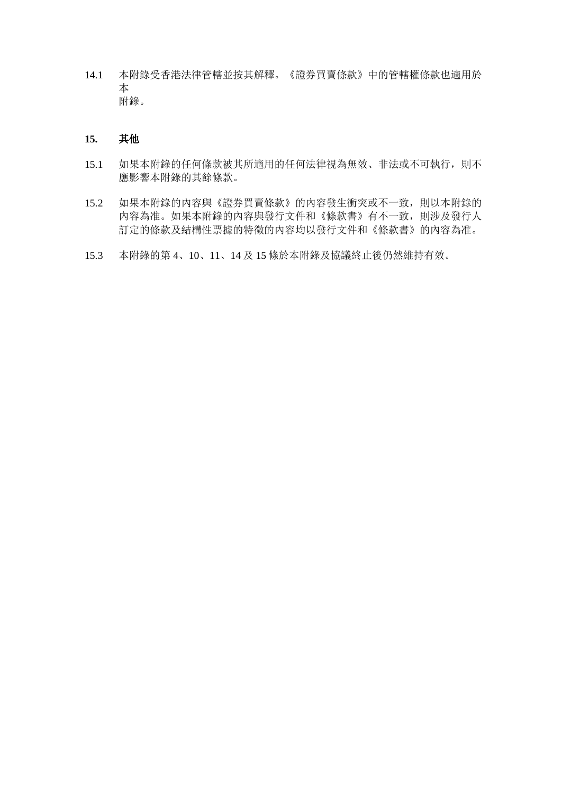14.1 本附錄受香港法律管轄並按其解釋。《證券買賣條款》中的管轄權條款也適用於 本 附錄。

# **15.** 其他

- 15.1 如果本附錄的任何條款被其所適用的任何法律視為無效、非法或不可執行,則不 應影響本附錄的其餘條款。
- 15.2 如果本附錄的內容與《證券買賣條款》的內容發生衝突或不一致,則以本附錄的 內容為准。如果本附錄的內容與發行文件和《條款書》有不一致,則涉及發行人 訂定的條款及結構性票據的特徵的內容均以發行文件和《條款書》的內容為准。
- 15.3 本附錄的第 4、10、11、14 及 15 條於本附錄及協議終止後仍然維持有效。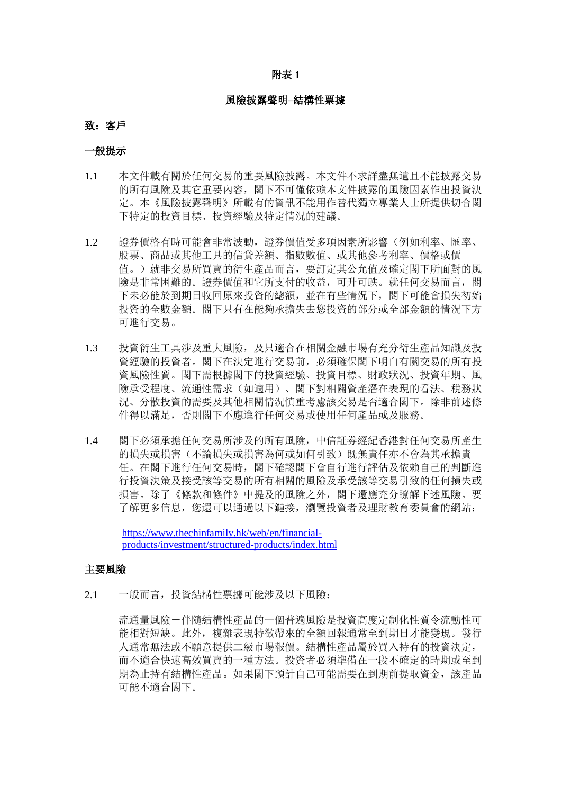#### 附表 **1**

#### 風險披露聲明**–**結構性票據

#### 致: 客戶

#### 一般提示

- 1.1 本文件載有關於任何交易的重要風險披露。本文件不求詳盡無遺且不能披露交易 的所有風險及其它重要內容,閣下不可僅依賴本文件披露的風險因素作出投資決 定。本《風險披露聲明》所載有的資訊不能用作替代獨立專業人士所提供切合閣 下特定的投資目標、投資經驗及特定情況的建議。
- 1.2 證券價格有時可能會非常波動,證券價值受多項因素所影響(例如利率、匯率、 股票、商品或其他工具的信貸差額、指數數值、或其他參考利率、價格或價 值。)就非交易所買賣的衍生產品而言,要訂定其公允值及確定閣下所面對的風 險是非常困難的。證券價值和它所支付的收益,可升可跌。就任何交易而言,閣 下未必能於到期日收回原來投資的總額,並在有些情況下,閣下可能會損失初始 投資的全數金額。閣下只有在能夠承擔失去您投資的部分或全部金額的情況下方 可進行交易。
- 1.3 投資衍生工具涉及重大風險,及只適合在相關金融市場有充分衍生產品知識及投 資經驗的投資者。閣下在決定進行交易前,必須確保閣下明白有關交易的所有投 資風險性質。閣下需根據閣下的投資經驗、投資目標、財政狀況、投資年期、風 險承受程度、流通性需求(如適用)、閣下對相關資產潛在表現的看法、稅務狀 況、分散投資的需要及其他相關情況慎重考慮該交易是否適合閣下。除非前述條 件得以滿足,否則閣下不應進行任何交易或使用任何產品或及服務。
- 1.4 閣下必須承擔任何交易所涉及的所有風險,中信証劵經紀香港對任何交易所產生 的損失或損害(不論損失或損害為何或如何引致)既無責任亦不會為其承擔責 任。在閣下進行任何交易時,閣下確認閣下會自行進行評估及依賴自己的判斷進 行投資決策及接受該等交易的所有相關的風險及承受該等交易引致的任何損失或 損害。除了《條款和條件》中提及的風險之外,閣下還應充分瞭解下述風險。要 了解更多信息, 您還可以通過以下鏈接, 瀏覽投資者及理財教育委員會的網站:

[https://www.thechinfamily.hk/web/en/financial](https://www.thechinfamily.hk/web/en/financial-products/investment/structured-products/index.html)[products/investment/structured-products/index.html](https://www.thechinfamily.hk/web/en/financial-products/investment/structured-products/index.html)

#### 主要風險

2.1 一般而言,投資結構性票據可能涉及以下風險:

流通量風險-伴隨結構性產品的一個普遍風險是投資高度定制化性質令流動性可 能相對短缺。此外,複雜表現特徵帶來的全額回報通常至到期日才能變現。發行 人通常無法或不願意提供二級市場報價。結構性產品屬於買入持有的投資決定, 而不適合快速高效買賣的一種方法。投資者必須準備在一段不確定的時期或至到 期為止持有結構性產品。如果閣下預計自己可能需要在到期前提取資金,該產品 可能不適合閣下。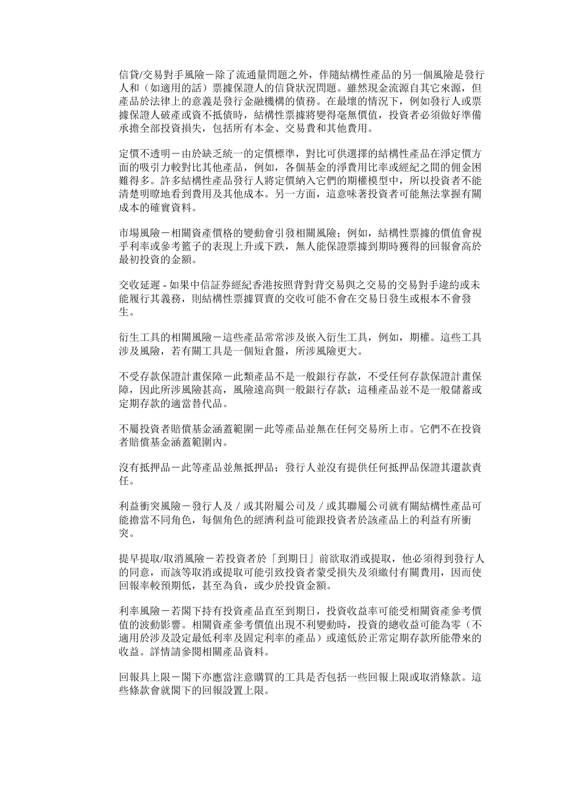信貸/交易對手風險-除了流通量問題之外,伴隨結構性產品的另一個風險是發行 人和(如適用的話)票據保證人的信貸狀況問題。雖然現金流源自其它來源,但 產品於法律上的意義是發行金融機構的債務。在最壞的情況下,例如發行人或票 據保證人破產或資不抵債時,結構性票據將變得毫無價值,投資者必須做好準備 承擔全部投資損失,包括所有本金、交易費和其他費用。

定價不透明-由於缺乏統一的定價標準,對比可供選擇的結構性產品在淨定價方 面的吸引力較對比其他產品,例如,各個基金的淨費用比率或經紀之間的佣金困 難得多。許多結構性產品發行人將定價納入它們的期權模型中,所以投資者不能 清楚明瞭地看到費用及其他成本。另一方面,這意味著投資者可能無法掌握有關 成本的確實資料。

市場風險-相關資產價格的變動會引發相關風險;例如,結構性票據的價值會視 乎利率或參考籃子的表現上升或下跌,無人能保證票據到期時獲得的回報會高於 最初投資的金額。

交收延遲 - 如果中信証券經紀香港按照背對背交易與之交易的交易對手違約或未 能履行其義務,則結構性票據買賣的交收可能不會在交易日發生或根本不會發 生。

衍生工具的相關風險-這些產品常常涉及嵌入衍生工具,例如,期權。這些工具 涉及風險,若有關工具是一個短倉盤,所涉風險更大。

不受存款保證計畫保障-此類產品不是一般銀行存款,不受任何存款保證計畫保 障,因此所涉風險甚高,風險遠高與一般銀行存款;這種產品並不是一般儲蓄或 定期存款的適當替代品。

不屬投資者賠償基金涵蓋範圍-此等產品並無在任何交易所上市。它們不在投資 者賠償基金涵蓋範圍內。

沒有抵押品-此等產品並無抵押品;發行人並沒有提供任何抵押品保證其還款責 任。

利益衝突風險-發行人及/或其附屬公司及/或其聯屬公司就有關結構性產品可 能擔當不同角色,每個角色的經濟利益可能跟投資者於該產品上的利益有所衝 突。

提早提取/取消風險-若投資者於「到期日」前欲取消或提取,他必須得到發行人 的同意,而該等取消或提取可能引致投資者蒙受損失及須繳付有關費用,因而使 回報率較預期低,甚至為負,或少於投資金額。

利率風險-若閣下持有投資產品直至到期日,投資收益率可能受相關資產參考價 值的波動影響。相關資產參考價值出現不利變動時,投資的總收益可能為零(不 適用於涉及設定最低利率及固定利率的產品)或遠低於正常定期存款所能帶來的 收益。詳情請參閱相關產品資料。

回報具上限-閣下亦應當注意購買的工具是否包括一些回報上限或取消條款。這 些條款會就閣下的回報設置上限。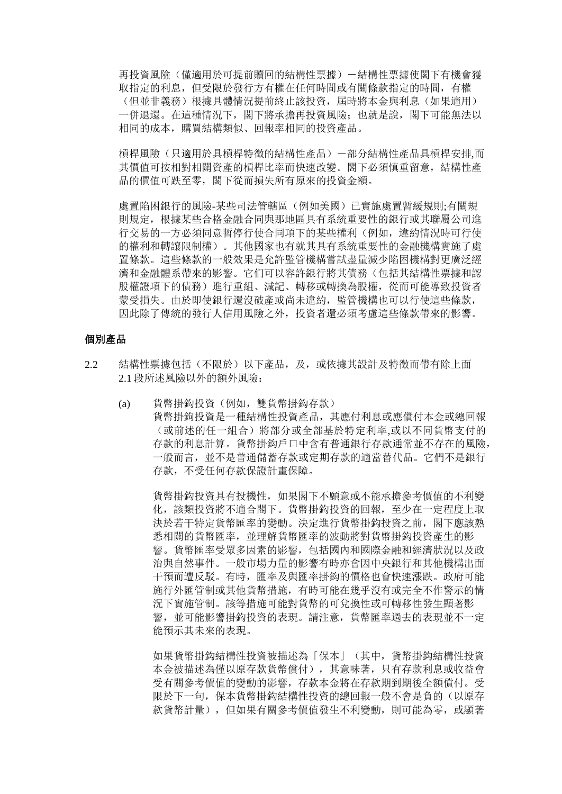再投資風險(僅適用於可提前贖回的結構性票據)-結構性票據使閣下有機會獲 取指定的利息,但受限於發行方有權在任何時間或有關條款指定的時間,有權 (但並非義務)根據具體情況提前終止該投資,屆時將本金與利息(如果適用) 一併退還。在這種情況下,閣下將承擔再投資風險;也就是說,閣下可能無法以 相同的成本,購買結構類似、回報率相同的投資產品。

槓桿風險(只適用於具槓桿特徵的結構性產品)-部分結構性產品具槓桿安排,而 其價值可按相對相關資產的槓桿比率而快速改變。閣下必須慎重留意,結構性產 品的價值可跌至零,閣下從而損失所有原來的投資金額。

處置陷困銀行的風險-某些司法管轄區(例如美國)已實施處置暫緩規則;有關規 則規定,根據某些合格金融合同與那地區具有系統重要性的銀行或其聯屬公司進 行交易的一方必須同意暫停行使合同項下的某些權利(例如,違約情況時可行使 的權利和轉讓限制權)。其他國家也有就其具有系統重要性的金融機構實施了處 置條款。這些條款的一般效果是允許監管機構嘗試盡量減少陷困機構對更廣泛經 濟和金融體系帶來的影響。它们可以容許銀行將其債務(包括其結構性票據和認 股權證項下的債務)進行重組、減記、轉移或轉換為股權,從而可能導致投資者 蒙受損失。由於即使銀行還沒破產或尚未違約,監管機構也可以行使這些條款, 因此除了傳統的發行人信用風險之外,投資者還必須考慮這些條款帶來的影響。

### 個別產品

- 2.2 結構性票據包括(不限於)以下產品,及,或依據其設計及特徵而帶有除上面 2.1 段所述風險以外的額外風險:
	- (a) 貨幣掛鈎投資(例如,雙貨幣掛鈎存款) 貨幣掛鉤投資是一種結構性投資產品,其應付利息或應償付本金或總回報 (或前述的任一組合)將部分或全部基於特定利率,或以不同貨幣支付的 存款的利息計算。貨幣掛鈎戶口中含有普通銀行存款通常並不存在的風險, 一般而言,並不是普通儲蓄存款或定期存款的適當替代品。它們不是銀行 存款,不受任何存款保證計畫保障。

貨幣掛鈎投資具有投機性,如果閣下不願意或不能承擔參考價值的不利變 化,該類投資將不適合閣下。貨幣掛鈎投資的回報,至少在一定程度上取 決於若干特定貨幣匯率的變動。決定進行貨幣掛鈎投資之前,閣下應該熟 悉相關的貨幣匯率,並理解貨幣匯率的波動將對貨幣掛鈎投資產生的影 響。貨幣匯率受眾多因素的影響,包括國內和國際金融和經濟狀況以及政 治與自然事件。一般市場力量的影響有時亦會因中央銀行和其他機構出面 干預而遭反駁。有時,匯率及與匯率掛鈎的價格也會快速漲跌。政府可能 施行外匯管制或其他貨幣措施,有時可能在幾乎沒有或完全不作警示的情 況下實施管制。該等措施可能對貨幣的可兌換性或可轉移性發生顯著影 響,並可能影響掛鈎投資的表現。請注意,貨幣匯率過去的表現並不一定 能預示其未來的表現。

如果貨幣掛鈎結構性投資被描述為「保本」(其中,貨幣掛鈎結構性投資 本金被描述為僅以原存款貨幣償付),其意味著,只有存款利息或收益會 受有關參考價值的變動的影響,存款本金將在存款期到期後全額償付。受 限於下一句,保本貨幣掛鈎結構性投資的總回報一般不會是負的(以原存 款貨幣計量),但如果有關參考價值發生不利變動,則可能為零,或顯著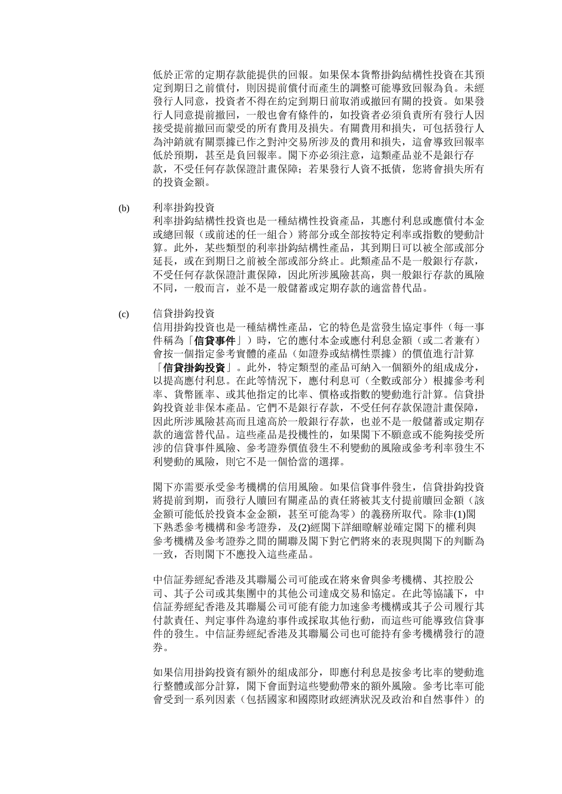低於正常的定期存款能提供的回報。如果保本貨幣掛鈎結構性投資在其預 定到期日之前償付,則因提前償付而產生的調整可能導致回報為負。未經 發行人同意,投資者不得在約定到期日前取消或撤回有關的投資。如果發 行人同意提前撤回,一般也會有條件的,如投資者必須負責所有發行人因 接受提前撤回而蒙受的所有費用及損失。有關費用和損失,可包括發行人 為沖銷就有關票據已作之對沖交易所涉及的費用和損失,這會導致回報率 低於預期, 甚至是負回報率。閣下亦必須注意, 這類產品並不是銀行存 款,不受任何存款保證計畫保障;若果發行人資不抵債,您將會損失所有 的投資金額。

(b) 利率掛鈎投資

利率掛鈎結構性投資也是一種結構性投資產品,其應付利息或應償付本金 或總回報(或前述的任一組合)將部分或全部按特定利率或指數的變動計 算。此外,某些類型的利率掛鈎結構性產品,其到期日可以被全部或部分 延長,或在到期日之前被全部或部分終止。此類產品不是一般銀行存款, 不受任何存款保證計書保障, 因此所涉風險甚高, 與一般銀行存款的風險 不同,一般而言,並不是一般儲蓄或定期存款的適當替代品。

(c) 信貸掛鈎投資

信用掛鈎投資也是一種結構性產品,它的特色是當發生協定事件(每一事 件稱為「信**貸事件**」)時, 它的應付本金或應付利息金額(或二者兼有) 會按一個指定參考實體的產品(如證券或結構性票據)的價值進行計算 「信貸掛鈎投資」。此外,特定類型的產品可納入一個額外的組成成分, 以提高應付利息。在此等情況下,應付利息可(全數或部分)根據參考利 率、貨幣匯率、或其他指定的比率、價格或指數的變動進行計算。信貸掛 鈎投資並非保本產品。它們不是銀行存款,不受任何存款保證計畫保障, 因此所涉風險甚高而且遠高於一般銀行存款,也並不是一般儲蓄或定期存 款的適當替代品。這些產品是投機性的,如果閣下不願意或不能夠接受所 涉的信貸事件風險、參考證券價值發生不利變動的風險或參考利率發生不 利變動的風險,則它不是一個恰當的選擇。

閣下亦需要承受參考機構的信用風險。如果信貸事件發生,信貸掛鈎投資 將提前到期,而發行人贖回有關產品的責任將被其支付提前贖回金額(該 金額可能低於投資本金金額,甚至可能為零)的義務所取代。除非(1)閣 下熟悉參考機構和參考證券,及(2)經閣下詳細瞭解並確定閣下的權利與 參考機構及參考證券之間的關聯及閣下對它們將來的表現與閣下的判斷為 一致,否則閣下不應投入這些產品。

中信証劵經紀香港及其聯屬公司可能或在將來會與參考機構、其控股公 司、其子公司或其集團中的其他公司達成交易和協定。在此等協議下,中 信証劵經紀香港及其聯屬公司可能有能力加速參考機構或其子公司履行其 付款責任、判定事件為違約事件或採取其他行動,而這些可能導致信貸事 件的發生。中信証劵經紀香港及其聯屬公司也可能持有參考機構發行的證 券。

如果信用掛鈎投資有額外的組成部分,即應付利息是按參考比率的變動進 行整體或部分計算,閣下會面對這些變動帶來的額外風險。參考比率可能 會受到一系列因素(包括國家和國際財政經濟狀況及政治和自然事件)的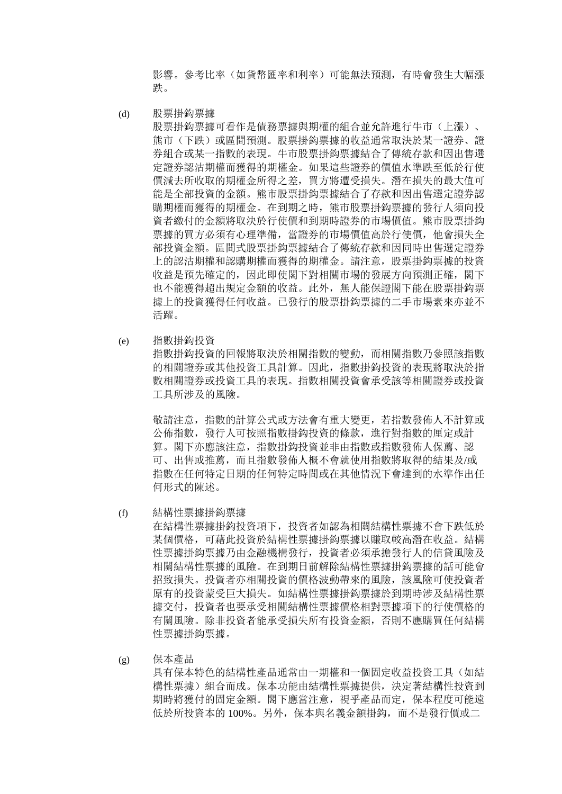影響。參考比率(如貨幣匯率和利率)可能無法預測,有時會發生大幅漲 跌。

(d) 股票掛鈎票據

股票掛鈎票據可看作是債務票據與期權的組合並允許進行牛市(上漲)、 能市(下跌)或區間預測。股票掛鈎票據的收益通常取決於某一證券、證 券組合或某一指數的表現。牛市股票掛鈎票據結合了傳統存款和因出售選 定證券認沽期權而獲得的期權金。如果這些證券的價值水準跌至低於行使 價減去所收取的期權金所得之差,買方將遭受損失。潛在損失的最大值可 能是全部投資的金額。熊市股票掛鈎票據結合了存款和因出售選定證券認 購期權而獲得的期權金。在到期之時,熊市股票掛鈎票據的發行人須向投 資者繳付的金額將取決於行使價和到期時證券的市場價值。熊市股票掛鈎 票據的買方必須有心理準備, 當證券的市場價值高於行使價, 他會損失全 部投資金額。區間式股票掛鈎票據結合了傳統存款和因同時出售選定證券 上的認沽期權和認購期權而獲得的期權金。請注意,股票掛鈎票據的投資 收益是預先確定的,因此即使閣下對相關市場的發展方向預測正確,閣下 也不能獲得超出規定金額的收益。此外,無人能保證閣下能在股票掛鈎票 據上的投資獲得任何收益。已發行的股票掛鈎票據的二手市場素來亦並不 活躍。

(e) 指數掛鈎投資

指數掛鈎投資的回報將取決於相關指數的變動,而相關指數乃參照該指數 的相關證券或其他投資工具計算。因此,指數掛鈎投資的表現將取決於指 數相關證券或投資工具的表現。指數相關投資會承受該等相關證券或投資 工具所涉及的風險。

敬請注意,指數的計算公式或方法會有重大變更,若指數發佈人不計算或 公佈指數,發行人可按照指數掛鈎投資的條款,進行對指數的厘定或計 算。閣下亦應該注意,指數掛鈎投資並非由指數或指數發佈人保薦、認 可、出售或推薦,而且指數發佈人概不會就使用指數將取得的結果及/或 指數在任何特定日期的任何特定時間或在其他情況下會達到的水準作出任 何形式的陳述。

(f) 結構性票據掛鈎票據

在結構性票據掛鈎投資項下,投資者如認為相關結構性票據不會下跌低於 某個價格,可藉此投資於結構性票據掛鈎票據以賺取較高潛在收益。結構 性票據掛鈎票據乃由金融機構發行,投資者必須承擔發行人的信貸風險及 相關結構性票據的風險。在到期日前解除結構性票據掛鈎票據的話可能會 招致損失。投資者亦相關投資的價格波動帶來的風險,該風險可使投資者 原有的投資蒙受巨大損失。如結構性票據掛鈎票據於到期時涉及結構性票 據交付,投資者也要承受相關結構性票據價格相對票據項下的行使價格的 有關風險。除非投資者能承受損失所有投資金額,否則不應購買任何結構 性票據掛鈎票據。

(g) 保本產品 具有保本特色的結構性產品通常由一期權和一個固定收益投資工具(如結 構性票據)組合而成。保本功能由結構性票據提供,決定著結構性投資到 期時將獲付的固定金額。閣下應當注意,視乎產品而定,保本程度可能遠 低於所投資本的 100%。另外,保本與名義金額掛鈎,而不是發行價或二